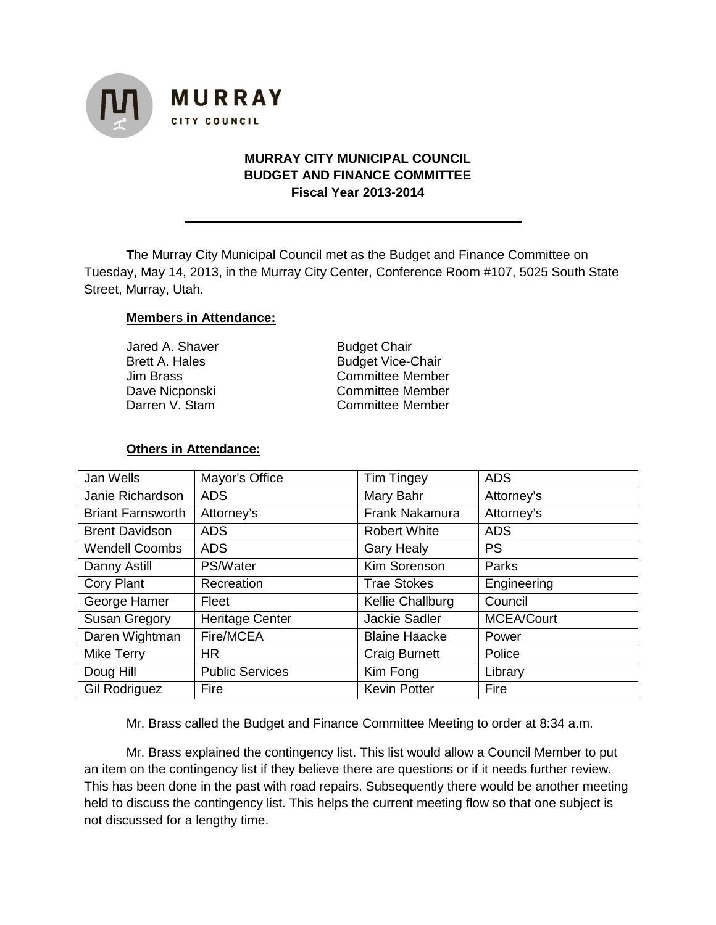

# **MURRAY CITY MUNICIPAL COUNCIL BUDGET AND FINANCE COMMITTEE Fiscal Year 2013-2014**

**T**he Murray City Municipal Council met as the Budget and Finance Committee on Tuesday, May 14, 2013, in the Murray City Center, Conference Room #107, 5025 South State Street, Murray, Utah.

#### **Members in Attendance:**

| Jared A. Shaver | <b>Budget Chair</b>      |  |  |
|-----------------|--------------------------|--|--|
| Brett A. Hales  | <b>Budget Vice-Chair</b> |  |  |
| Jim Brass       | <b>Committee Member</b>  |  |  |
| Dave Nicponski  | <b>Committee Member</b>  |  |  |
| Darren V. Stam  | <b>Committee Member</b>  |  |  |
|                 |                          |  |  |

#### **Others in Attendance:**

| Jan Wells                | Mayor's Office         | <b>Tim Tingey</b>    | <b>ADS</b>        |
|--------------------------|------------------------|----------------------|-------------------|
| Janie Richardson         | <b>ADS</b>             | Mary Bahr            | Attorney's        |
| <b>Briant Farnsworth</b> | Attorney's             | Frank Nakamura       | Attorney's        |
| <b>Brent Davidson</b>    | <b>ADS</b>             | <b>Robert White</b>  | <b>ADS</b>        |
| <b>Wendell Coombs</b>    | <b>ADS</b>             | <b>Gary Healy</b>    | <b>PS</b>         |
| Danny Astill             | PS/Water               | Kim Sorenson         | Parks             |
| <b>Cory Plant</b>        | Recreation             | <b>Trae Stokes</b>   | Engineering       |
| George Hamer             | Fleet                  | Kellie Challburg     | Council           |
| Susan Gregory            | <b>Heritage Center</b> | <b>Jackie Sadler</b> | <b>MCEA/Court</b> |
| Daren Wightman           | Fire/MCEA              | <b>Blaine Haacke</b> | Power             |
| <b>Mike Terry</b>        | <b>HR</b>              | <b>Craig Burnett</b> | Police            |
| Doug Hill                | <b>Public Services</b> | Kim Fong             | Library           |
| <b>Gil Rodriguez</b>     | Fire                   | <b>Kevin Potter</b>  | Fire              |

Mr. Brass called the Budget and Finance Committee Meeting to order at 8:34 a.m.

Mr. Brass explained the contingency list. This list would allow a Council Member to put an item on the contingency list if they believe there are questions or if it needs further review. This has been done in the past with road repairs. Subsequently there would be another meeting held to discuss the contingency list. This helps the current meeting flow so that one subject is not discussed for a lengthy time.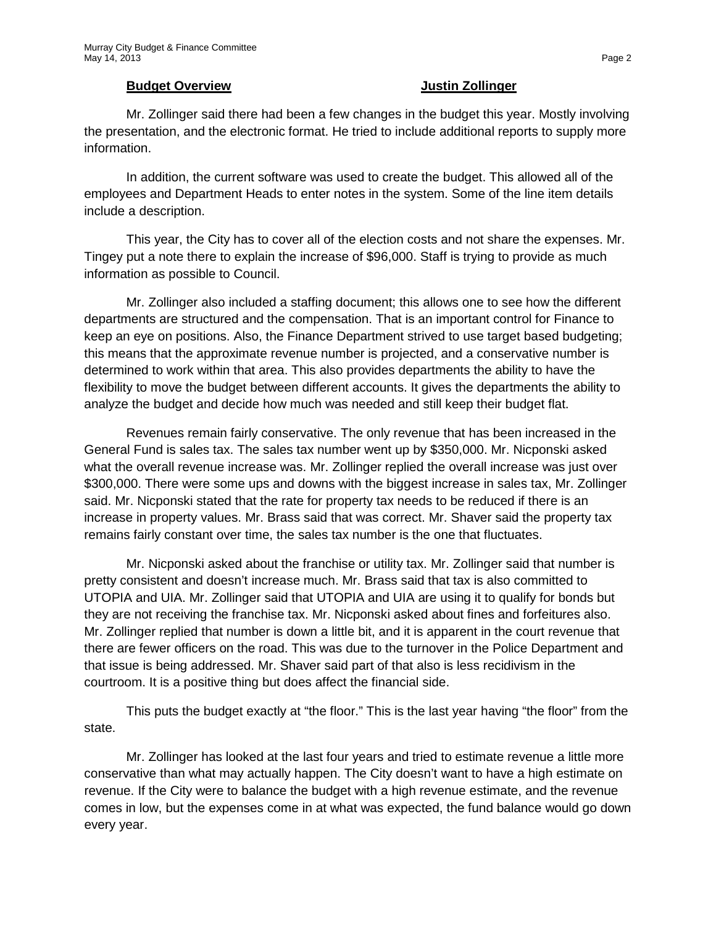#### **Budget Overview Justin Zollinger**

Mr. Zollinger said there had been a few changes in the budget this year. Mostly involving the presentation, and the electronic format. He tried to include additional reports to supply more information.

In addition, the current software was used to create the budget. This allowed all of the employees and Department Heads to enter notes in the system. Some of the line item details include a description.

This year, the City has to cover all of the election costs and not share the expenses. Mr. Tingey put a note there to explain the increase of \$96,000. Staff is trying to provide as much information as possible to Council.

Mr. Zollinger also included a staffing document; this allows one to see how the different departments are structured and the compensation. That is an important control for Finance to keep an eye on positions. Also, the Finance Department strived to use target based budgeting; this means that the approximate revenue number is projected, and a conservative number is determined to work within that area. This also provides departments the ability to have the flexibility to move the budget between different accounts. It gives the departments the ability to analyze the budget and decide how much was needed and still keep their budget flat.

Revenues remain fairly conservative. The only revenue that has been increased in the General Fund is sales tax. The sales tax number went up by \$350,000. Mr. Nicponski asked what the overall revenue increase was. Mr. Zollinger replied the overall increase was just over \$300,000. There were some ups and downs with the biggest increase in sales tax, Mr. Zollinger said. Mr. Nicponski stated that the rate for property tax needs to be reduced if there is an increase in property values. Mr. Brass said that was correct. Mr. Shaver said the property tax remains fairly constant over time, the sales tax number is the one that fluctuates.

Mr. Nicponski asked about the franchise or utility tax. Mr. Zollinger said that number is pretty consistent and doesn't increase much. Mr. Brass said that tax is also committed to UTOPIA and UIA. Mr. Zollinger said that UTOPIA and UIA are using it to qualify for bonds but they are not receiving the franchise tax. Mr. Nicponski asked about fines and forfeitures also. Mr. Zollinger replied that number is down a little bit, and it is apparent in the court revenue that there are fewer officers on the road. This was due to the turnover in the Police Department and that issue is being addressed. Mr. Shaver said part of that also is less recidivism in the courtroom. It is a positive thing but does affect the financial side.

This puts the budget exactly at "the floor." This is the last year having "the floor" from the state.

Mr. Zollinger has looked at the last four years and tried to estimate revenue a little more conservative than what may actually happen. The City doesn't want to have a high estimate on revenue. If the City were to balance the budget with a high revenue estimate, and the revenue comes in low, but the expenses come in at what was expected, the fund balance would go down every year.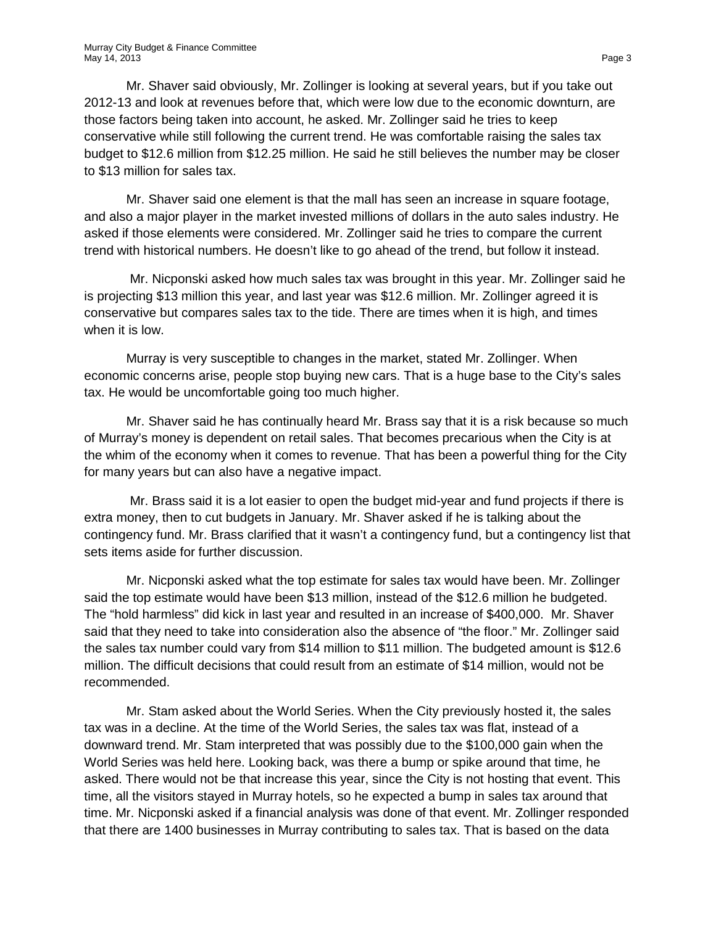Mr. Shaver said obviously, Mr. Zollinger is looking at several years, but if you take out 2012-13 and look at revenues before that, which were low due to the economic downturn, are those factors being taken into account, he asked. Mr. Zollinger said he tries to keep conservative while still following the current trend. He was comfortable raising the sales tax budget to \$12.6 million from \$12.25 million. He said he still believes the number may be closer to \$13 million for sales tax.

Mr. Shaver said one element is that the mall has seen an increase in square footage, and also a major player in the market invested millions of dollars in the auto sales industry. He asked if those elements were considered. Mr. Zollinger said he tries to compare the current trend with historical numbers. He doesn't like to go ahead of the trend, but follow it instead.

Mr. Nicponski asked how much sales tax was brought in this year. Mr. Zollinger said he is projecting \$13 million this year, and last year was \$12.6 million. Mr. Zollinger agreed it is conservative but compares sales tax to the tide. There are times when it is high, and times when it is low.

Murray is very susceptible to changes in the market, stated Mr. Zollinger. When economic concerns arise, people stop buying new cars. That is a huge base to the City's sales tax. He would be uncomfortable going too much higher.

Mr. Shaver said he has continually heard Mr. Brass say that it is a risk because so much of Murray's money is dependent on retail sales. That becomes precarious when the City is at the whim of the economy when it comes to revenue. That has been a powerful thing for the City for many years but can also have a negative impact.

Mr. Brass said it is a lot easier to open the budget mid-year and fund projects if there is extra money, then to cut budgets in January. Mr. Shaver asked if he is talking about the contingency fund. Mr. Brass clarified that it wasn't a contingency fund, but a contingency list that sets items aside for further discussion.

Mr. Nicponski asked what the top estimate for sales tax would have been. Mr. Zollinger said the top estimate would have been \$13 million, instead of the \$12.6 million he budgeted. The "hold harmless" did kick in last year and resulted in an increase of \$400,000. Mr. Shaver said that they need to take into consideration also the absence of "the floor." Mr. Zollinger said the sales tax number could vary from \$14 million to \$11 million. The budgeted amount is \$12.6 million. The difficult decisions that could result from an estimate of \$14 million, would not be recommended.

Mr. Stam asked about the World Series. When the City previously hosted it, the sales tax was in a decline. At the time of the World Series, the sales tax was flat, instead of a downward trend. Mr. Stam interpreted that was possibly due to the \$100,000 gain when the World Series was held here. Looking back, was there a bump or spike around that time, he asked. There would not be that increase this year, since the City is not hosting that event. This time, all the visitors stayed in Murray hotels, so he expected a bump in sales tax around that time. Mr. Nicponski asked if a financial analysis was done of that event. Mr. Zollinger responded that there are 1400 businesses in Murray contributing to sales tax. That is based on the data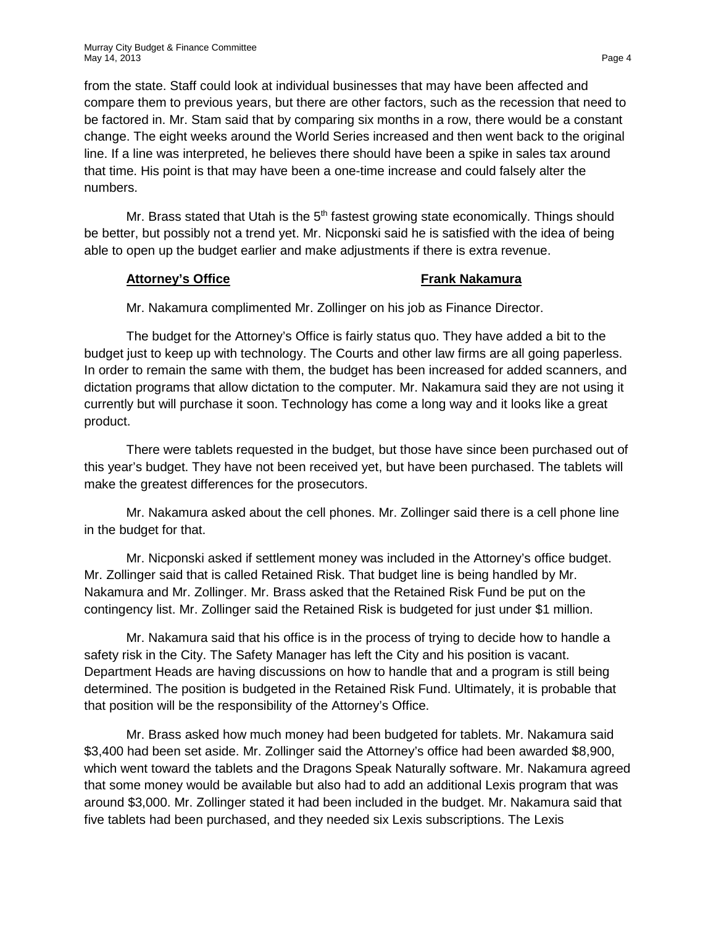from the state. Staff could look at individual businesses that may have been affected and compare them to previous years, but there are other factors, such as the recession that need to be factored in. Mr. Stam said that by comparing six months in a row, there would be a constant change. The eight weeks around the World Series increased and then went back to the original line. If a line was interpreted, he believes there should have been a spike in sales tax around that time. His point is that may have been a one-time increase and could falsely alter the numbers.

Mr. Brass stated that Utah is the  $5<sup>th</sup>$  fastest growing state economically. Things should be better, but possibly not a trend yet. Mr. Nicponski said he is satisfied with the idea of being able to open up the budget earlier and make adjustments if there is extra revenue.

#### **Attorney's Office Frank Nakamura**

Mr. Nakamura complimented Mr. Zollinger on his job as Finance Director.

The budget for the Attorney's Office is fairly status quo. They have added a bit to the budget just to keep up with technology. The Courts and other law firms are all going paperless. In order to remain the same with them, the budget has been increased for added scanners, and dictation programs that allow dictation to the computer. Mr. Nakamura said they are not using it currently but will purchase it soon. Technology has come a long way and it looks like a great product.

There were tablets requested in the budget, but those have since been purchased out of this year's budget. They have not been received yet, but have been purchased. The tablets will make the greatest differences for the prosecutors.

Mr. Nakamura asked about the cell phones. Mr. Zollinger said there is a cell phone line in the budget for that.

Mr. Nicponski asked if settlement money was included in the Attorney's office budget. Mr. Zollinger said that is called Retained Risk. That budget line is being handled by Mr. Nakamura and Mr. Zollinger. Mr. Brass asked that the Retained Risk Fund be put on the contingency list. Mr. Zollinger said the Retained Risk is budgeted for just under \$1 million.

Mr. Nakamura said that his office is in the process of trying to decide how to handle a safety risk in the City. The Safety Manager has left the City and his position is vacant. Department Heads are having discussions on how to handle that and a program is still being determined. The position is budgeted in the Retained Risk Fund. Ultimately, it is probable that that position will be the responsibility of the Attorney's Office.

Mr. Brass asked how much money had been budgeted for tablets. Mr. Nakamura said \$3,400 had been set aside. Mr. Zollinger said the Attorney's office had been awarded \$8,900, which went toward the tablets and the Dragons Speak Naturally software. Mr. Nakamura agreed that some money would be available but also had to add an additional Lexis program that was around \$3,000. Mr. Zollinger stated it had been included in the budget. Mr. Nakamura said that five tablets had been purchased, and they needed six Lexis subscriptions. The Lexis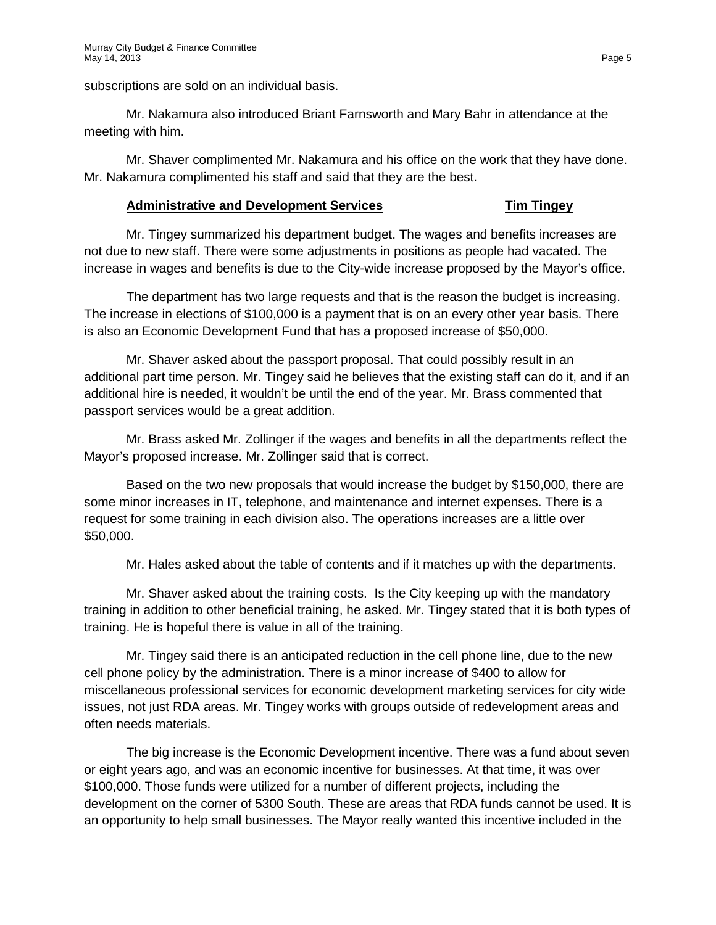subscriptions are sold on an individual basis.

Mr. Nakamura also introduced Briant Farnsworth and Mary Bahr in attendance at the meeting with him.

Mr. Shaver complimented Mr. Nakamura and his office on the work that they have done. Mr. Nakamura complimented his staff and said that they are the best.

# **Administrative and Development Services Tim Tingey**

Mr. Tingey summarized his department budget. The wages and benefits increases are not due to new staff. There were some adjustments in positions as people had vacated. The increase in wages and benefits is due to the City-wide increase proposed by the Mayor's office.

The department has two large requests and that is the reason the budget is increasing. The increase in elections of \$100,000 is a payment that is on an every other year basis. There is also an Economic Development Fund that has a proposed increase of \$50,000.

Mr. Shaver asked about the passport proposal. That could possibly result in an additional part time person. Mr. Tingey said he believes that the existing staff can do it, and if an additional hire is needed, it wouldn't be until the end of the year. Mr. Brass commented that passport services would be a great addition.

Mr. Brass asked Mr. Zollinger if the wages and benefits in all the departments reflect the Mayor's proposed increase. Mr. Zollinger said that is correct.

Based on the two new proposals that would increase the budget by \$150,000, there are some minor increases in IT, telephone, and maintenance and internet expenses. There is a request for some training in each division also. The operations increases are a little over \$50,000.

Mr. Hales asked about the table of contents and if it matches up with the departments.

Mr. Shaver asked about the training costs. Is the City keeping up with the mandatory training in addition to other beneficial training, he asked. Mr. Tingey stated that it is both types of training. He is hopeful there is value in all of the training.

Mr. Tingey said there is an anticipated reduction in the cell phone line, due to the new cell phone policy by the administration. There is a minor increase of \$400 to allow for miscellaneous professional services for economic development marketing services for city wide issues, not just RDA areas. Mr. Tingey works with groups outside of redevelopment areas and often needs materials.

The big increase is the Economic Development incentive. There was a fund about seven or eight years ago, and was an economic incentive for businesses. At that time, it was over \$100,000. Those funds were utilized for a number of different projects, including the development on the corner of 5300 South. These are areas that RDA funds cannot be used. It is an opportunity to help small businesses. The Mayor really wanted this incentive included in the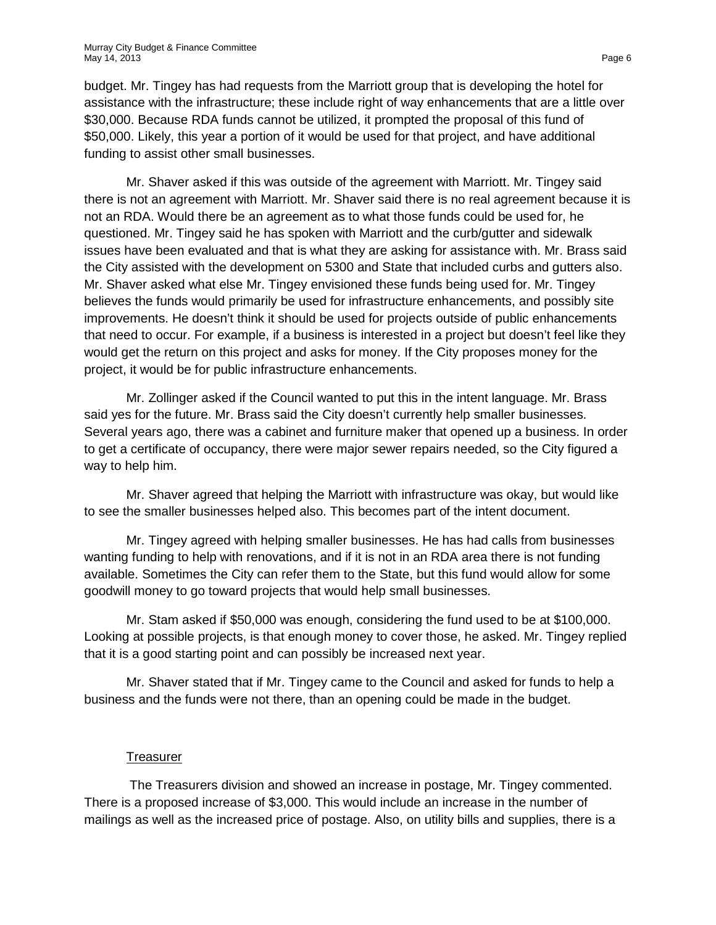budget. Mr. Tingey has had requests from the Marriott group that is developing the hotel for assistance with the infrastructure; these include right of way enhancements that are a little over \$30,000. Because RDA funds cannot be utilized, it prompted the proposal of this fund of \$50,000. Likely, this year a portion of it would be used for that project, and have additional funding to assist other small businesses.

Mr. Shaver asked if this was outside of the agreement with Marriott. Mr. Tingey said there is not an agreement with Marriott. Mr. Shaver said there is no real agreement because it is not an RDA. Would there be an agreement as to what those funds could be used for, he questioned. Mr. Tingey said he has spoken with Marriott and the curb/gutter and sidewalk issues have been evaluated and that is what they are asking for assistance with. Mr. Brass said the City assisted with the development on 5300 and State that included curbs and gutters also. Mr. Shaver asked what else Mr. Tingey envisioned these funds being used for. Mr. Tingey believes the funds would primarily be used for infrastructure enhancements, and possibly site improvements. He doesn't think it should be used for projects outside of public enhancements that need to occur. For example, if a business is interested in a project but doesn't feel like they would get the return on this project and asks for money. If the City proposes money for the project, it would be for public infrastructure enhancements.

Mr. Zollinger asked if the Council wanted to put this in the intent language. Mr. Brass said yes for the future. Mr. Brass said the City doesn't currently help smaller businesses. Several years ago, there was a cabinet and furniture maker that opened up a business. In order to get a certificate of occupancy, there were major sewer repairs needed, so the City figured a way to help him.

Mr. Shaver agreed that helping the Marriott with infrastructure was okay, but would like to see the smaller businesses helped also. This becomes part of the intent document.

Mr. Tingey agreed with helping smaller businesses. He has had calls from businesses wanting funding to help with renovations, and if it is not in an RDA area there is not funding available. Sometimes the City can refer them to the State, but this fund would allow for some goodwill money to go toward projects that would help small businesses.

Mr. Stam asked if \$50,000 was enough, considering the fund used to be at \$100,000. Looking at possible projects, is that enough money to cover those, he asked. Mr. Tingey replied that it is a good starting point and can possibly be increased next year.

Mr. Shaver stated that if Mr. Tingey came to the Council and asked for funds to help a business and the funds were not there, than an opening could be made in the budget.

# **Treasurer**

The Treasurers division and showed an increase in postage, Mr. Tingey commented. There is a proposed increase of \$3,000. This would include an increase in the number of mailings as well as the increased price of postage. Also, on utility bills and supplies, there is a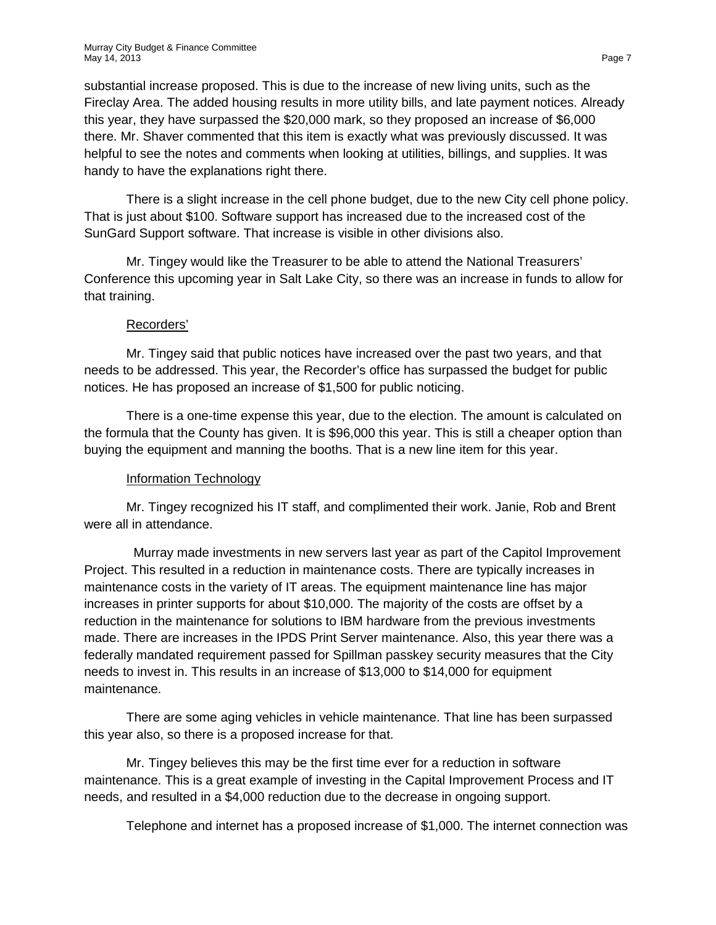substantial increase proposed. This is due to the increase of new living units, such as the Fireclay Area. The added housing results in more utility bills, and late payment notices. Already this year, they have surpassed the \$20,000 mark, so they proposed an increase of \$6,000 there. Mr. Shaver commented that this item is exactly what was previously discussed. It was helpful to see the notes and comments when looking at utilities, billings, and supplies. It was handy to have the explanations right there.

There is a slight increase in the cell phone budget, due to the new City cell phone policy. That is just about \$100. Software support has increased due to the increased cost of the SunGard Support software. That increase is visible in other divisions also.

Mr. Tingey would like the Treasurer to be able to attend the National Treasurers' Conference this upcoming year in Salt Lake City, so there was an increase in funds to allow for that training.

# Recorders'

Mr. Tingey said that public notices have increased over the past two years, and that needs to be addressed. This year, the Recorder's office has surpassed the budget for public notices. He has proposed an increase of \$1,500 for public noticing.

There is a one-time expense this year, due to the election. The amount is calculated on the formula that the County has given. It is \$96,000 this year. This is still a cheaper option than buying the equipment and manning the booths. That is a new line item for this year.

# Information Technology

Mr. Tingey recognized his IT staff, and complimented their work. Janie, Rob and Brent were all in attendance.

 Murray made investments in new servers last year as part of the Capitol Improvement Project. This resulted in a reduction in maintenance costs. There are typically increases in maintenance costs in the variety of IT areas. The equipment maintenance line has major increases in printer supports for about \$10,000. The majority of the costs are offset by a reduction in the maintenance for solutions to IBM hardware from the previous investments made. There are increases in the IPDS Print Server maintenance. Also, this year there was a federally mandated requirement passed for Spillman passkey security measures that the City needs to invest in. This results in an increase of \$13,000 to \$14,000 for equipment maintenance.

There are some aging vehicles in vehicle maintenance. That line has been surpassed this year also, so there is a proposed increase for that.

Mr. Tingey believes this may be the first time ever for a reduction in software maintenance. This is a great example of investing in the Capital Improvement Process and IT needs, and resulted in a \$4,000 reduction due to the decrease in ongoing support.

Telephone and internet has a proposed increase of \$1,000. The internet connection was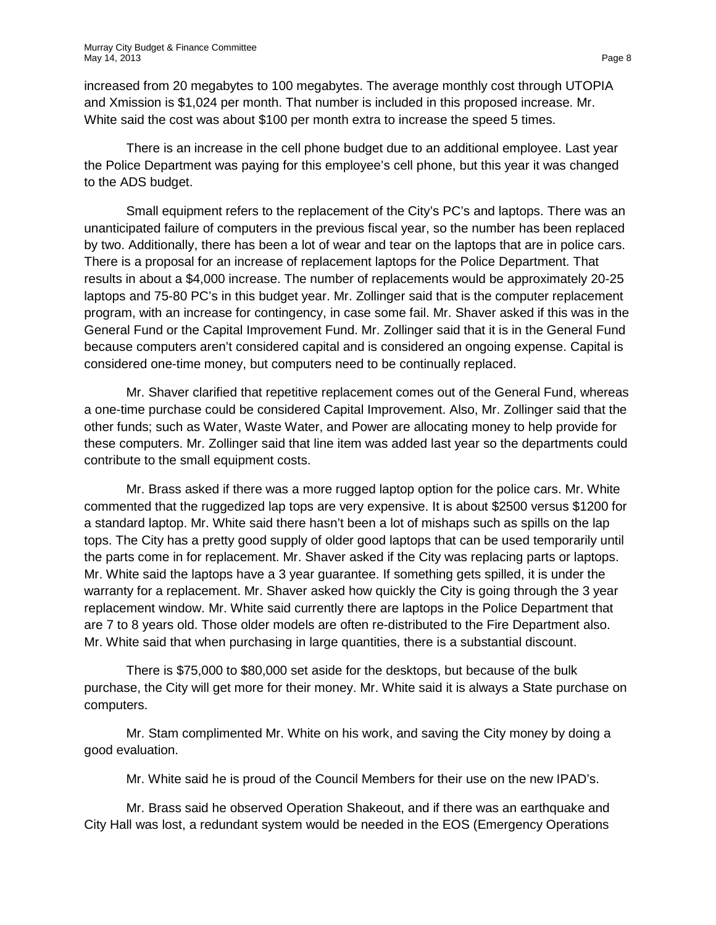increased from 20 megabytes to 100 megabytes. The average monthly cost through UTOPIA and Xmission is \$1,024 per month. That number is included in this proposed increase. Mr. White said the cost was about \$100 per month extra to increase the speed 5 times.

There is an increase in the cell phone budget due to an additional employee. Last year the Police Department was paying for this employee's cell phone, but this year it was changed to the ADS budget.

Small equipment refers to the replacement of the City's PC's and laptops. There was an unanticipated failure of computers in the previous fiscal year, so the number has been replaced by two. Additionally, there has been a lot of wear and tear on the laptops that are in police cars. There is a proposal for an increase of replacement laptops for the Police Department. That results in about a \$4,000 increase. The number of replacements would be approximately 20-25 laptops and 75-80 PC's in this budget year. Mr. Zollinger said that is the computer replacement program, with an increase for contingency, in case some fail. Mr. Shaver asked if this was in the General Fund or the Capital Improvement Fund. Mr. Zollinger said that it is in the General Fund because computers aren't considered capital and is considered an ongoing expense. Capital is considered one-time money, but computers need to be continually replaced.

Mr. Shaver clarified that repetitive replacement comes out of the General Fund, whereas a one-time purchase could be considered Capital Improvement. Also, Mr. Zollinger said that the other funds; such as Water, Waste Water, and Power are allocating money to help provide for these computers. Mr. Zollinger said that line item was added last year so the departments could contribute to the small equipment costs.

Mr. Brass asked if there was a more rugged laptop option for the police cars. Mr. White commented that the ruggedized lap tops are very expensive. It is about \$2500 versus \$1200 for a standard laptop. Mr. White said there hasn't been a lot of mishaps such as spills on the lap tops. The City has a pretty good supply of older good laptops that can be used temporarily until the parts come in for replacement. Mr. Shaver asked if the City was replacing parts or laptops. Mr. White said the laptops have a 3 year guarantee. If something gets spilled, it is under the warranty for a replacement. Mr. Shaver asked how quickly the City is going through the 3 year replacement window. Mr. White said currently there are laptops in the Police Department that are 7 to 8 years old. Those older models are often re-distributed to the Fire Department also. Mr. White said that when purchasing in large quantities, there is a substantial discount.

There is \$75,000 to \$80,000 set aside for the desktops, but because of the bulk purchase, the City will get more for their money. Mr. White said it is always a State purchase on computers.

Mr. Stam complimented Mr. White on his work, and saving the City money by doing a good evaluation.

Mr. White said he is proud of the Council Members for their use on the new IPAD's.

Mr. Brass said he observed Operation Shakeout, and if there was an earthquake and City Hall was lost, a redundant system would be needed in the EOS (Emergency Operations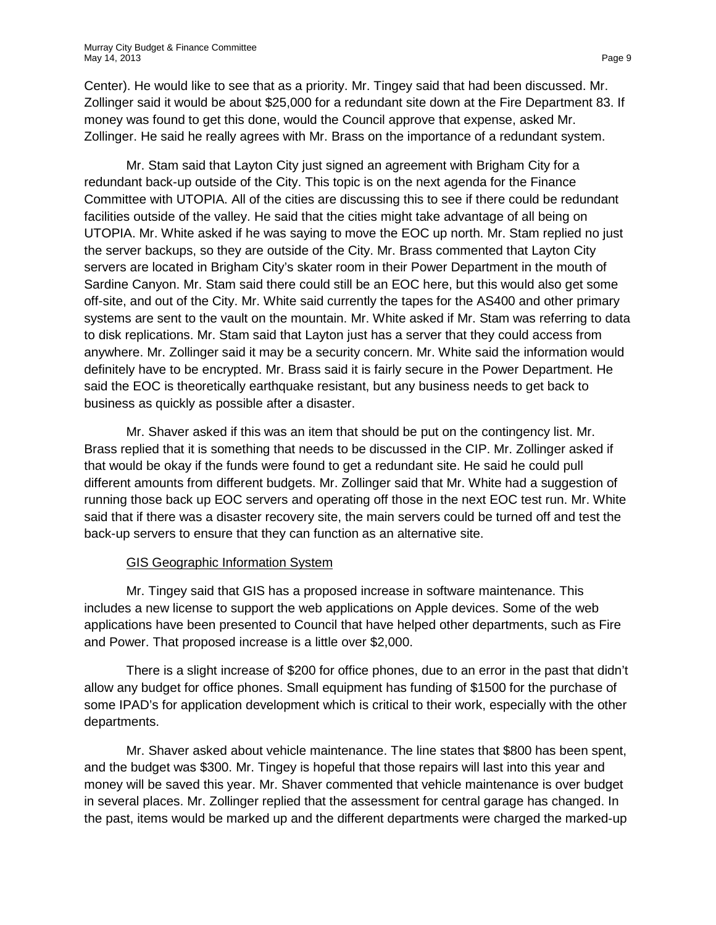Center). He would like to see that as a priority. Mr. Tingey said that had been discussed. Mr. Zollinger said it would be about \$25,000 for a redundant site down at the Fire Department 83. If money was found to get this done, would the Council approve that expense, asked Mr. Zollinger. He said he really agrees with Mr. Brass on the importance of a redundant system.

Mr. Stam said that Layton City just signed an agreement with Brigham City for a redundant back-up outside of the City. This topic is on the next agenda for the Finance Committee with UTOPIA. All of the cities are discussing this to see if there could be redundant facilities outside of the valley. He said that the cities might take advantage of all being on UTOPIA. Mr. White asked if he was saying to move the EOC up north. Mr. Stam replied no just the server backups, so they are outside of the City. Mr. Brass commented that Layton City servers are located in Brigham City's skater room in their Power Department in the mouth of Sardine Canyon. Mr. Stam said there could still be an EOC here, but this would also get some off-site, and out of the City. Mr. White said currently the tapes for the AS400 and other primary systems are sent to the vault on the mountain. Mr. White asked if Mr. Stam was referring to data to disk replications. Mr. Stam said that Layton just has a server that they could access from anywhere. Mr. Zollinger said it may be a security concern. Mr. White said the information would definitely have to be encrypted. Mr. Brass said it is fairly secure in the Power Department. He said the EOC is theoretically earthquake resistant, but any business needs to get back to business as quickly as possible after a disaster.

Mr. Shaver asked if this was an item that should be put on the contingency list. Mr. Brass replied that it is something that needs to be discussed in the CIP. Mr. Zollinger asked if that would be okay if the funds were found to get a redundant site. He said he could pull different amounts from different budgets. Mr. Zollinger said that Mr. White had a suggestion of running those back up EOC servers and operating off those in the next EOC test run. Mr. White said that if there was a disaster recovery site, the main servers could be turned off and test the back-up servers to ensure that they can function as an alternative site.

# GIS Geographic Information System

Mr. Tingey said that GIS has a proposed increase in software maintenance. This includes a new license to support the web applications on Apple devices. Some of the web applications have been presented to Council that have helped other departments, such as Fire and Power. That proposed increase is a little over \$2,000.

There is a slight increase of \$200 for office phones, due to an error in the past that didn't allow any budget for office phones. Small equipment has funding of \$1500 for the purchase of some IPAD's for application development which is critical to their work, especially with the other departments.

Mr. Shaver asked about vehicle maintenance. The line states that \$800 has been spent, and the budget was \$300. Mr. Tingey is hopeful that those repairs will last into this year and money will be saved this year. Mr. Shaver commented that vehicle maintenance is over budget in several places. Mr. Zollinger replied that the assessment for central garage has changed. In the past, items would be marked up and the different departments were charged the marked-up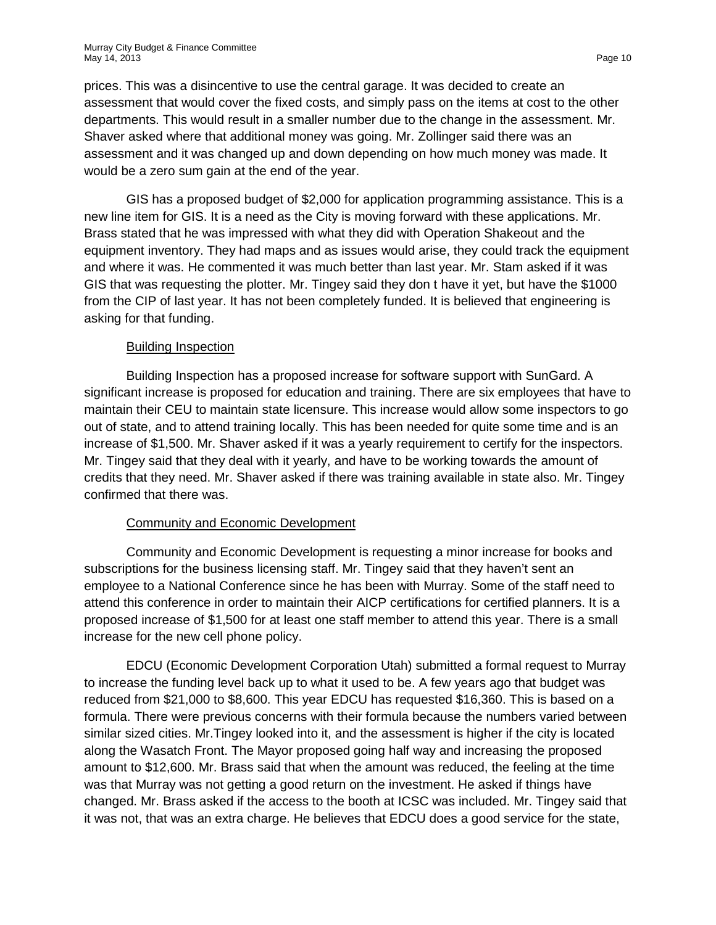prices. This was a disincentive to use the central garage. It was decided to create an assessment that would cover the fixed costs, and simply pass on the items at cost to the other departments. This would result in a smaller number due to the change in the assessment. Mr. Shaver asked where that additional money was going. Mr. Zollinger said there was an assessment and it was changed up and down depending on how much money was made. It would be a zero sum gain at the end of the year.

GIS has a proposed budget of \$2,000 for application programming assistance. This is a new line item for GIS. It is a need as the City is moving forward with these applications. Mr. Brass stated that he was impressed with what they did with Operation Shakeout and the equipment inventory. They had maps and as issues would arise, they could track the equipment and where it was. He commented it was much better than last year. Mr. Stam asked if it was GIS that was requesting the plotter. Mr. Tingey said they don t have it yet, but have the \$1000 from the CIP of last year. It has not been completely funded. It is believed that engineering is asking for that funding.

# Building Inspection

Building Inspection has a proposed increase for software support with SunGard. A significant increase is proposed for education and training. There are six employees that have to maintain their CEU to maintain state licensure. This increase would allow some inspectors to go out of state, and to attend training locally. This has been needed for quite some time and is an increase of \$1,500. Mr. Shaver asked if it was a yearly requirement to certify for the inspectors. Mr. Tingey said that they deal with it yearly, and have to be working towards the amount of credits that they need. Mr. Shaver asked if there was training available in state also. Mr. Tingey confirmed that there was.

# Community and Economic Development

Community and Economic Development is requesting a minor increase for books and subscriptions for the business licensing staff. Mr. Tingey said that they haven't sent an employee to a National Conference since he has been with Murray. Some of the staff need to attend this conference in order to maintain their AICP certifications for certified planners. It is a proposed increase of \$1,500 for at least one staff member to attend this year. There is a small increase for the new cell phone policy.

EDCU (Economic Development Corporation Utah) submitted a formal request to Murray to increase the funding level back up to what it used to be. A few years ago that budget was reduced from \$21,000 to \$8,600. This year EDCU has requested \$16,360. This is based on a formula. There were previous concerns with their formula because the numbers varied between similar sized cities. Mr.Tingey looked into it, and the assessment is higher if the city is located along the Wasatch Front. The Mayor proposed going half way and increasing the proposed amount to \$12,600. Mr. Brass said that when the amount was reduced, the feeling at the time was that Murray was not getting a good return on the investment. He asked if things have changed. Mr. Brass asked if the access to the booth at ICSC was included. Mr. Tingey said that it was not, that was an extra charge. He believes that EDCU does a good service for the state,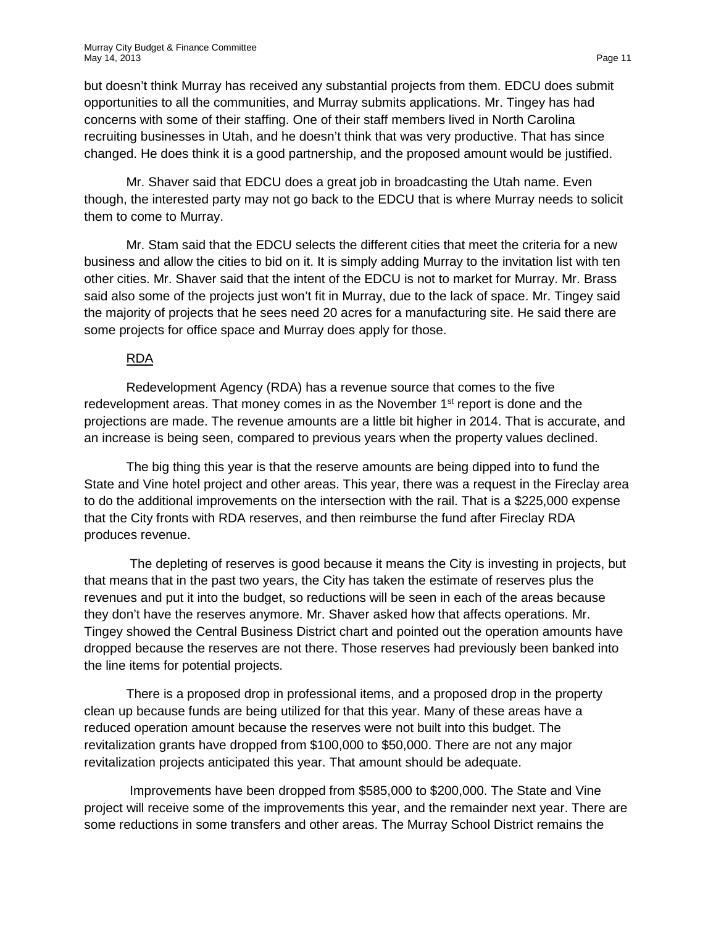but doesn't think Murray has received any substantial projects from them. EDCU does submit opportunities to all the communities, and Murray submits applications. Mr. Tingey has had concerns with some of their staffing. One of their staff members lived in North Carolina recruiting businesses in Utah, and he doesn't think that was very productive. That has since changed. He does think it is a good partnership, and the proposed amount would be justified.

Mr. Shaver said that EDCU does a great job in broadcasting the Utah name. Even though, the interested party may not go back to the EDCU that is where Murray needs to solicit them to come to Murray.

Mr. Stam said that the EDCU selects the different cities that meet the criteria for a new business and allow the cities to bid on it. It is simply adding Murray to the invitation list with ten other cities. Mr. Shaver said that the intent of the EDCU is not to market for Murray. Mr. Brass said also some of the projects just won't fit in Murray, due to the lack of space. Mr. Tingey said the majority of projects that he sees need 20 acres for a manufacturing site. He said there are some projects for office space and Murray does apply for those.

# RDA

Redevelopment Agency (RDA) has a revenue source that comes to the five redevelopment areas. That money comes in as the November 1<sup>st</sup> report is done and the projections are made. The revenue amounts are a little bit higher in 2014. That is accurate, and an increase is being seen, compared to previous years when the property values declined.

The big thing this year is that the reserve amounts are being dipped into to fund the State and Vine hotel project and other areas. This year, there was a request in the Fireclay area to do the additional improvements on the intersection with the rail. That is a \$225,000 expense that the City fronts with RDA reserves, and then reimburse the fund after Fireclay RDA produces revenue.

The depleting of reserves is good because it means the City is investing in projects, but that means that in the past two years, the City has taken the estimate of reserves plus the revenues and put it into the budget, so reductions will be seen in each of the areas because they don't have the reserves anymore. Mr. Shaver asked how that affects operations. Mr. Tingey showed the Central Business District chart and pointed out the operation amounts have dropped because the reserves are not there. Those reserves had previously been banked into the line items for potential projects.

There is a proposed drop in professional items, and a proposed drop in the property clean up because funds are being utilized for that this year. Many of these areas have a reduced operation amount because the reserves were not built into this budget. The revitalization grants have dropped from \$100,000 to \$50,000. There are not any major revitalization projects anticipated this year. That amount should be adequate.

Improvements have been dropped from \$585,000 to \$200,000. The State and Vine project will receive some of the improvements this year, and the remainder next year. There are some reductions in some transfers and other areas. The Murray School District remains the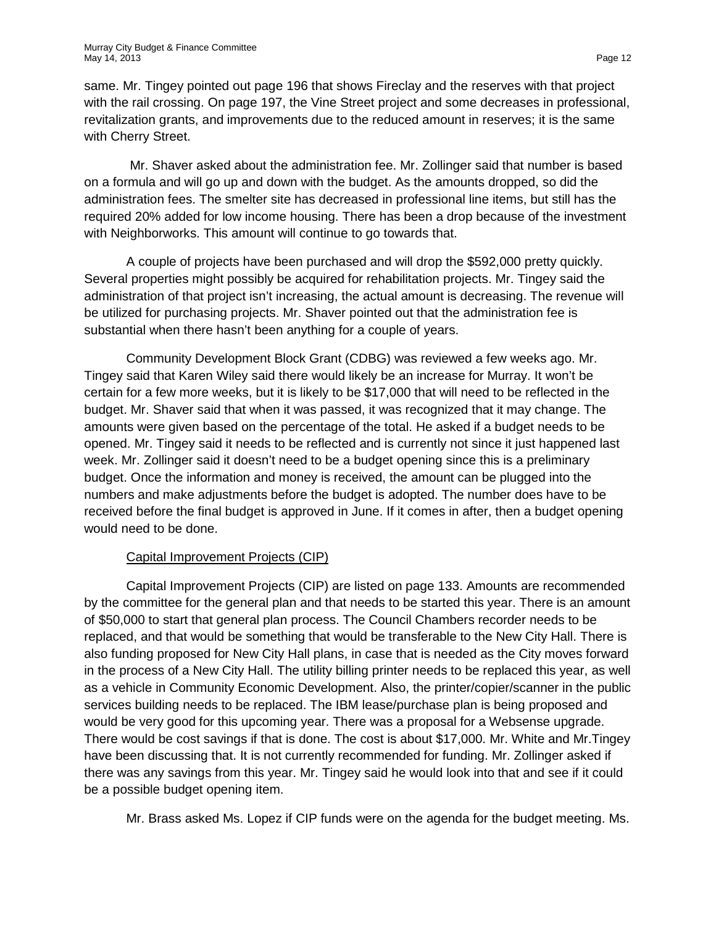same. Mr. Tingey pointed out page 196 that shows Fireclay and the reserves with that project with the rail crossing. On page 197, the Vine Street project and some decreases in professional, revitalization grants, and improvements due to the reduced amount in reserves; it is the same with Cherry Street.

Mr. Shaver asked about the administration fee. Mr. Zollinger said that number is based on a formula and will go up and down with the budget. As the amounts dropped, so did the administration fees. The smelter site has decreased in professional line items, but still has the required 20% added for low income housing. There has been a drop because of the investment with Neighborworks. This amount will continue to go towards that.

A couple of projects have been purchased and will drop the \$592,000 pretty quickly. Several properties might possibly be acquired for rehabilitation projects. Mr. Tingey said the administration of that project isn't increasing, the actual amount is decreasing. The revenue will be utilized for purchasing projects. Mr. Shaver pointed out that the administration fee is substantial when there hasn't been anything for a couple of years.

Community Development Block Grant (CDBG) was reviewed a few weeks ago. Mr. Tingey said that Karen Wiley said there would likely be an increase for Murray. It won't be certain for a few more weeks, but it is likely to be \$17,000 that will need to be reflected in the budget. Mr. Shaver said that when it was passed, it was recognized that it may change. The amounts were given based on the percentage of the total. He asked if a budget needs to be opened. Mr. Tingey said it needs to be reflected and is currently not since it just happened last week. Mr. Zollinger said it doesn't need to be a budget opening since this is a preliminary budget. Once the information and money is received, the amount can be plugged into the numbers and make adjustments before the budget is adopted. The number does have to be received before the final budget is approved in June. If it comes in after, then a budget opening would need to be done.

# Capital Improvement Projects (CIP)

Capital Improvement Projects (CIP) are listed on page 133. Amounts are recommended by the committee for the general plan and that needs to be started this year. There is an amount of \$50,000 to start that general plan process. The Council Chambers recorder needs to be replaced, and that would be something that would be transferable to the New City Hall. There is also funding proposed for New City Hall plans, in case that is needed as the City moves forward in the process of a New City Hall. The utility billing printer needs to be replaced this year, as well as a vehicle in Community Economic Development. Also, the printer/copier/scanner in the public services building needs to be replaced. The IBM lease/purchase plan is being proposed and would be very good for this upcoming year. There was a proposal for a Websense upgrade. There would be cost savings if that is done. The cost is about \$17,000. Mr. White and Mr.Tingey have been discussing that. It is not currently recommended for funding. Mr. Zollinger asked if there was any savings from this year. Mr. Tingey said he would look into that and see if it could be a possible budget opening item.

Mr. Brass asked Ms. Lopez if CIP funds were on the agenda for the budget meeting. Ms.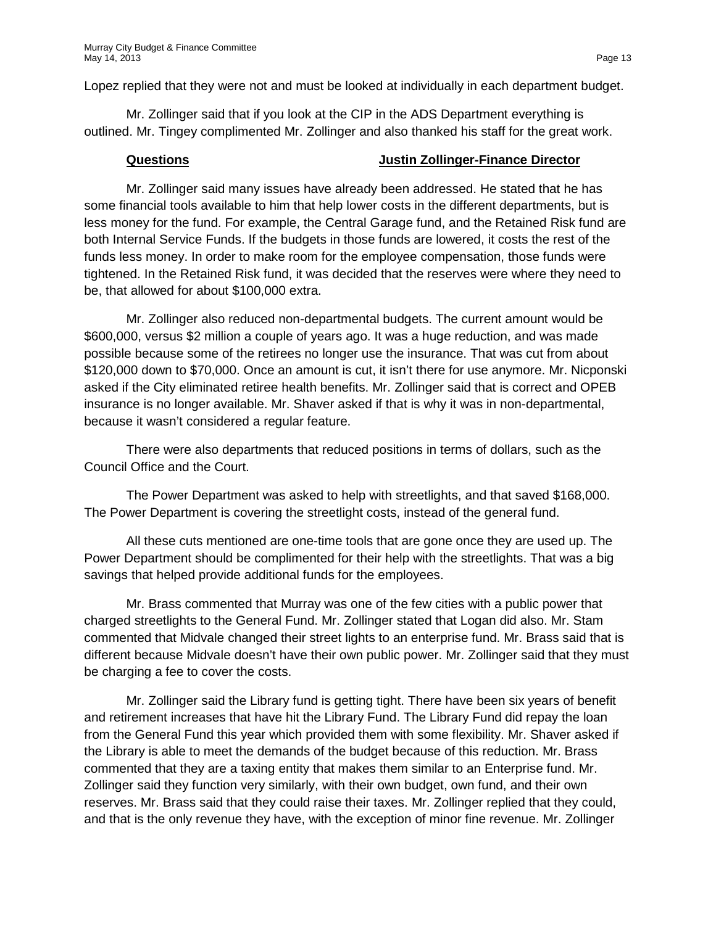Lopez replied that they were not and must be looked at individually in each department budget.

Mr. Zollinger said that if you look at the CIP in the ADS Department everything is outlined. Mr. Tingey complimented Mr. Zollinger and also thanked his staff for the great work.

#### **Questions Justin Zollinger-Finance Director**

Mr. Zollinger said many issues have already been addressed. He stated that he has some financial tools available to him that help lower costs in the different departments, but is less money for the fund. For example, the Central Garage fund, and the Retained Risk fund are both Internal Service Funds. If the budgets in those funds are lowered, it costs the rest of the funds less money. In order to make room for the employee compensation, those funds were tightened. In the Retained Risk fund, it was decided that the reserves were where they need to be, that allowed for about \$100,000 extra.

Mr. Zollinger also reduced non-departmental budgets. The current amount would be \$600,000, versus \$2 million a couple of years ago. It was a huge reduction, and was made possible because some of the retirees no longer use the insurance. That was cut from about \$120,000 down to \$70,000. Once an amount is cut, it isn't there for use anymore. Mr. Nicponski asked if the City eliminated retiree health benefits. Mr. Zollinger said that is correct and OPEB insurance is no longer available. Mr. Shaver asked if that is why it was in non-departmental, because it wasn't considered a regular feature.

There were also departments that reduced positions in terms of dollars, such as the Council Office and the Court.

The Power Department was asked to help with streetlights, and that saved \$168,000. The Power Department is covering the streetlight costs, instead of the general fund.

All these cuts mentioned are one-time tools that are gone once they are used up. The Power Department should be complimented for their help with the streetlights. That was a big savings that helped provide additional funds for the employees.

Mr. Brass commented that Murray was one of the few cities with a public power that charged streetlights to the General Fund. Mr. Zollinger stated that Logan did also. Mr. Stam commented that Midvale changed their street lights to an enterprise fund. Mr. Brass said that is different because Midvale doesn't have their own public power. Mr. Zollinger said that they must be charging a fee to cover the costs.

Mr. Zollinger said the Library fund is getting tight. There have been six years of benefit and retirement increases that have hit the Library Fund. The Library Fund did repay the loan from the General Fund this year which provided them with some flexibility. Mr. Shaver asked if the Library is able to meet the demands of the budget because of this reduction. Mr. Brass commented that they are a taxing entity that makes them similar to an Enterprise fund. Mr. Zollinger said they function very similarly, with their own budget, own fund, and their own reserves. Mr. Brass said that they could raise their taxes. Mr. Zollinger replied that they could, and that is the only revenue they have, with the exception of minor fine revenue. Mr. Zollinger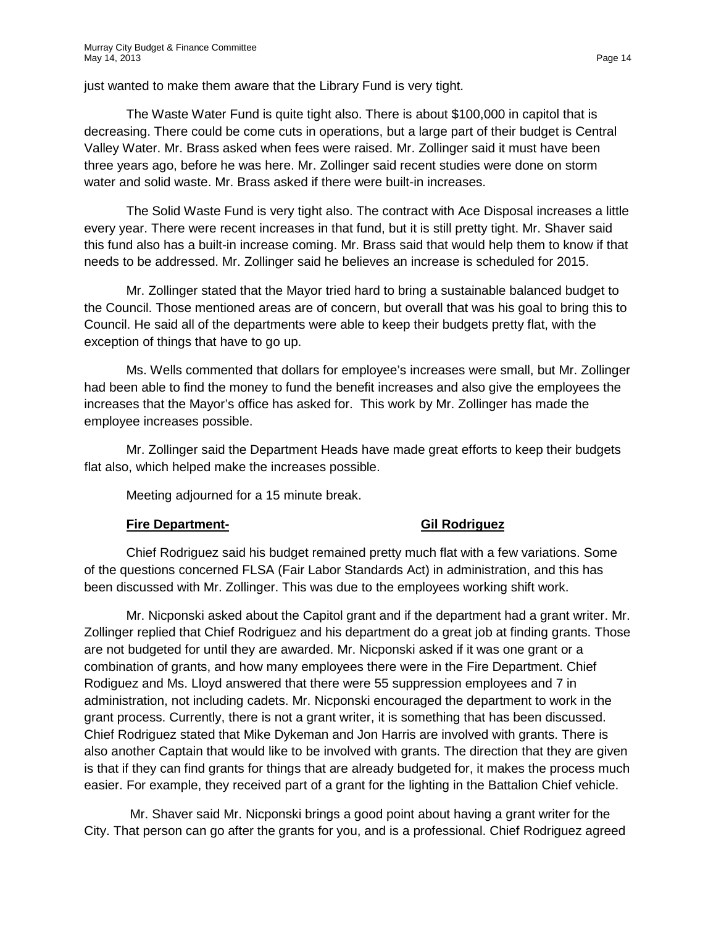just wanted to make them aware that the Library Fund is very tight.

The Waste Water Fund is quite tight also. There is about \$100,000 in capitol that is decreasing. There could be come cuts in operations, but a large part of their budget is Central Valley Water. Mr. Brass asked when fees were raised. Mr. Zollinger said it must have been three years ago, before he was here. Mr. Zollinger said recent studies were done on storm water and solid waste. Mr. Brass asked if there were built-in increases.

The Solid Waste Fund is very tight also. The contract with Ace Disposal increases a little every year. There were recent increases in that fund, but it is still pretty tight. Mr. Shaver said this fund also has a built-in increase coming. Mr. Brass said that would help them to know if that needs to be addressed. Mr. Zollinger said he believes an increase is scheduled for 2015.

Mr. Zollinger stated that the Mayor tried hard to bring a sustainable balanced budget to the Council. Those mentioned areas are of concern, but overall that was his goal to bring this to Council. He said all of the departments were able to keep their budgets pretty flat, with the exception of things that have to go up.

Ms. Wells commented that dollars for employee's increases were small, but Mr. Zollinger had been able to find the money to fund the benefit increases and also give the employees the increases that the Mayor's office has asked for. This work by Mr. Zollinger has made the employee increases possible.

Mr. Zollinger said the Department Heads have made great efforts to keep their budgets flat also, which helped make the increases possible.

Meeting adjourned for a 15 minute break.

# **Fire Department- Gil Rodriguez**

Chief Rodriguez said his budget remained pretty much flat with a few variations. Some of the questions concerned FLSA (Fair Labor Standards Act) in administration, and this has been discussed with Mr. Zollinger. This was due to the employees working shift work.

Mr. Nicponski asked about the Capitol grant and if the department had a grant writer. Mr. Zollinger replied that Chief Rodriguez and his department do a great job at finding grants. Those are not budgeted for until they are awarded. Mr. Nicponski asked if it was one grant or a combination of grants, and how many employees there were in the Fire Department. Chief Rodiguez and Ms. Lloyd answered that there were 55 suppression employees and 7 in administration, not including cadets. Mr. Nicponski encouraged the department to work in the grant process. Currently, there is not a grant writer, it is something that has been discussed. Chief Rodriguez stated that Mike Dykeman and Jon Harris are involved with grants. There is also another Captain that would like to be involved with grants. The direction that they are given is that if they can find grants for things that are already budgeted for, it makes the process much easier. For example, they received part of a grant for the lighting in the Battalion Chief vehicle.

Mr. Shaver said Mr. Nicponski brings a good point about having a grant writer for the City. That person can go after the grants for you, and is a professional. Chief Rodriguez agreed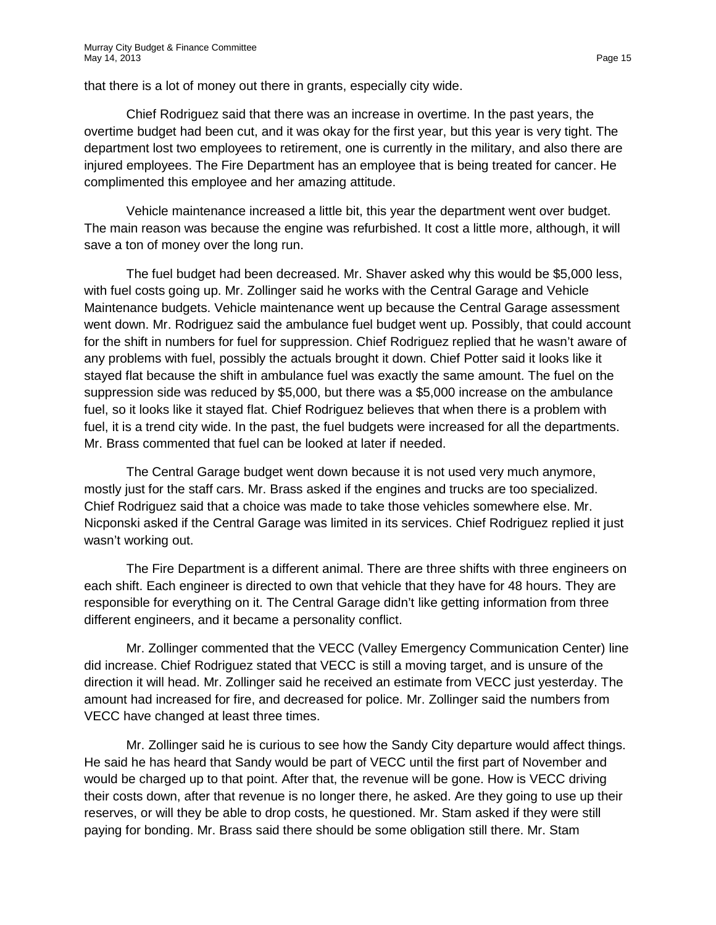that there is a lot of money out there in grants, especially city wide.

Chief Rodriguez said that there was an increase in overtime. In the past years, the overtime budget had been cut, and it was okay for the first year, but this year is very tight. The department lost two employees to retirement, one is currently in the military, and also there are injured employees. The Fire Department has an employee that is being treated for cancer. He complimented this employee and her amazing attitude.

Vehicle maintenance increased a little bit, this year the department went over budget. The main reason was because the engine was refurbished. It cost a little more, although, it will save a ton of money over the long run.

The fuel budget had been decreased. Mr. Shaver asked why this would be \$5,000 less, with fuel costs going up. Mr. Zollinger said he works with the Central Garage and Vehicle Maintenance budgets. Vehicle maintenance went up because the Central Garage assessment went down. Mr. Rodriguez said the ambulance fuel budget went up. Possibly, that could account for the shift in numbers for fuel for suppression. Chief Rodriguez replied that he wasn't aware of any problems with fuel, possibly the actuals brought it down. Chief Potter said it looks like it stayed flat because the shift in ambulance fuel was exactly the same amount. The fuel on the suppression side was reduced by \$5,000, but there was a \$5,000 increase on the ambulance fuel, so it looks like it stayed flat. Chief Rodriguez believes that when there is a problem with fuel, it is a trend city wide. In the past, the fuel budgets were increased for all the departments. Mr. Brass commented that fuel can be looked at later if needed.

The Central Garage budget went down because it is not used very much anymore, mostly just for the staff cars. Mr. Brass asked if the engines and trucks are too specialized. Chief Rodriguez said that a choice was made to take those vehicles somewhere else. Mr. Nicponski asked if the Central Garage was limited in its services. Chief Rodriguez replied it just wasn't working out.

The Fire Department is a different animal. There are three shifts with three engineers on each shift. Each engineer is directed to own that vehicle that they have for 48 hours. They are responsible for everything on it. The Central Garage didn't like getting information from three different engineers, and it became a personality conflict.

Mr. Zollinger commented that the VECC (Valley Emergency Communication Center) line did increase. Chief Rodriguez stated that VECC is still a moving target, and is unsure of the direction it will head. Mr. Zollinger said he received an estimate from VECC just yesterday. The amount had increased for fire, and decreased for police. Mr. Zollinger said the numbers from VECC have changed at least three times.

Mr. Zollinger said he is curious to see how the Sandy City departure would affect things. He said he has heard that Sandy would be part of VECC until the first part of November and would be charged up to that point. After that, the revenue will be gone. How is VECC driving their costs down, after that revenue is no longer there, he asked. Are they going to use up their reserves, or will they be able to drop costs, he questioned. Mr. Stam asked if they were still paying for bonding. Mr. Brass said there should be some obligation still there. Mr. Stam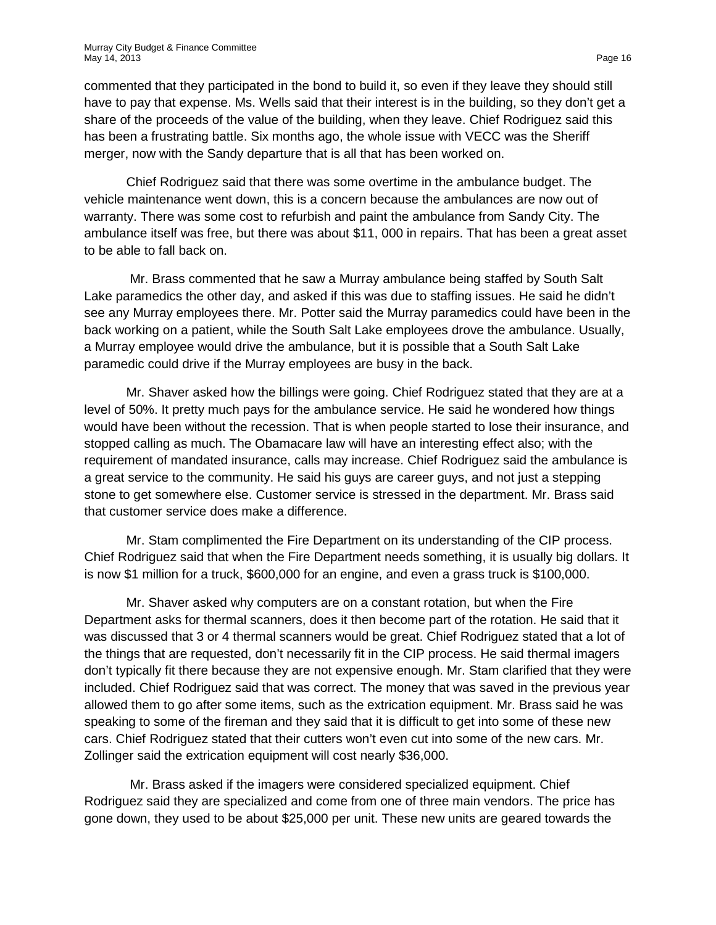commented that they participated in the bond to build it, so even if they leave they should still have to pay that expense. Ms. Wells said that their interest is in the building, so they don't get a share of the proceeds of the value of the building, when they leave. Chief Rodriguez said this has been a frustrating battle. Six months ago, the whole issue with VECC was the Sheriff merger, now with the Sandy departure that is all that has been worked on.

Chief Rodriguez said that there was some overtime in the ambulance budget. The vehicle maintenance went down, this is a concern because the ambulances are now out of warranty. There was some cost to refurbish and paint the ambulance from Sandy City. The ambulance itself was free, but there was about \$11, 000 in repairs. That has been a great asset to be able to fall back on.

Mr. Brass commented that he saw a Murray ambulance being staffed by South Salt Lake paramedics the other day, and asked if this was due to staffing issues. He said he didn't see any Murray employees there. Mr. Potter said the Murray paramedics could have been in the back working on a patient, while the South Salt Lake employees drove the ambulance. Usually, a Murray employee would drive the ambulance, but it is possible that a South Salt Lake paramedic could drive if the Murray employees are busy in the back.

Mr. Shaver asked how the billings were going. Chief Rodriguez stated that they are at a level of 50%. It pretty much pays for the ambulance service. He said he wondered how things would have been without the recession. That is when people started to lose their insurance, and stopped calling as much. The Obamacare law will have an interesting effect also; with the requirement of mandated insurance, calls may increase. Chief Rodriguez said the ambulance is a great service to the community. He said his guys are career guys, and not just a stepping stone to get somewhere else. Customer service is stressed in the department. Mr. Brass said that customer service does make a difference.

Mr. Stam complimented the Fire Department on its understanding of the CIP process. Chief Rodriguez said that when the Fire Department needs something, it is usually big dollars. It is now \$1 million for a truck, \$600,000 for an engine, and even a grass truck is \$100,000.

Mr. Shaver asked why computers are on a constant rotation, but when the Fire Department asks for thermal scanners, does it then become part of the rotation. He said that it was discussed that 3 or 4 thermal scanners would be great. Chief Rodriguez stated that a lot of the things that are requested, don't necessarily fit in the CIP process. He said thermal imagers don't typically fit there because they are not expensive enough. Mr. Stam clarified that they were included. Chief Rodriguez said that was correct. The money that was saved in the previous year allowed them to go after some items, such as the extrication equipment. Mr. Brass said he was speaking to some of the fireman and they said that it is difficult to get into some of these new cars. Chief Rodriguez stated that their cutters won't even cut into some of the new cars. Mr. Zollinger said the extrication equipment will cost nearly \$36,000.

Mr. Brass asked if the imagers were considered specialized equipment. Chief Rodriguez said they are specialized and come from one of three main vendors. The price has gone down, they used to be about \$25,000 per unit. These new units are geared towards the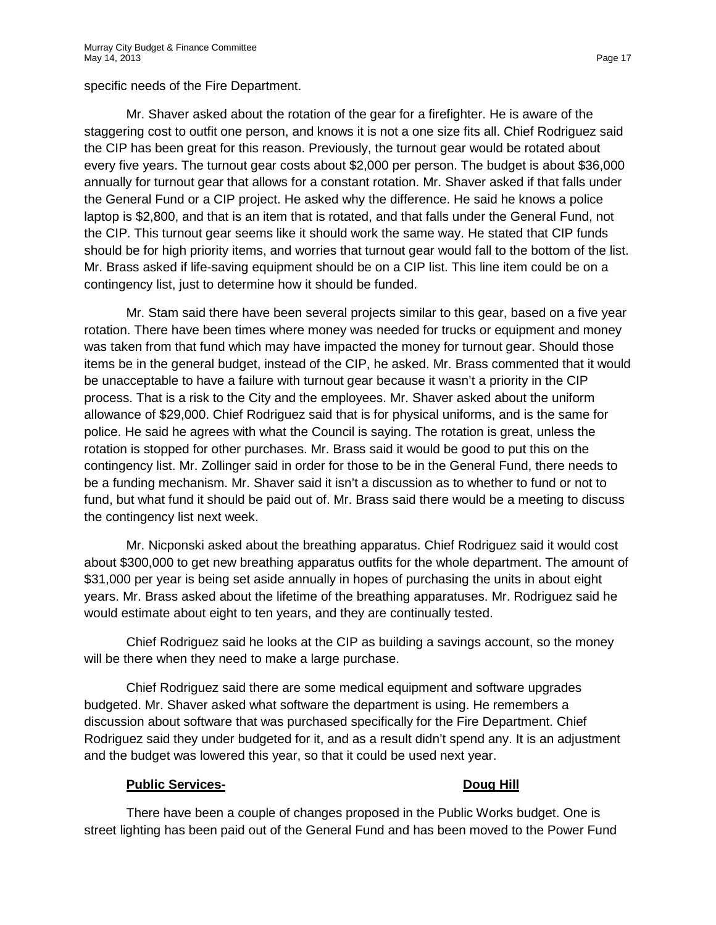specific needs of the Fire Department.

Mr. Shaver asked about the rotation of the gear for a firefighter. He is aware of the staggering cost to outfit one person, and knows it is not a one size fits all. Chief Rodriguez said the CIP has been great for this reason. Previously, the turnout gear would be rotated about every five years. The turnout gear costs about \$2,000 per person. The budget is about \$36,000 annually for turnout gear that allows for a constant rotation. Mr. Shaver asked if that falls under the General Fund or a CIP project. He asked why the difference. He said he knows a police laptop is \$2,800, and that is an item that is rotated, and that falls under the General Fund, not the CIP. This turnout gear seems like it should work the same way. He stated that CIP funds should be for high priority items, and worries that turnout gear would fall to the bottom of the list. Mr. Brass asked if life-saving equipment should be on a CIP list. This line item could be on a contingency list, just to determine how it should be funded.

Mr. Stam said there have been several projects similar to this gear, based on a five year rotation. There have been times where money was needed for trucks or equipment and money was taken from that fund which may have impacted the money for turnout gear. Should those items be in the general budget, instead of the CIP, he asked. Mr. Brass commented that it would be unacceptable to have a failure with turnout gear because it wasn't a priority in the CIP process. That is a risk to the City and the employees. Mr. Shaver asked about the uniform allowance of \$29,000. Chief Rodriguez said that is for physical uniforms, and is the same for police. He said he agrees with what the Council is saying. The rotation is great, unless the rotation is stopped for other purchases. Mr. Brass said it would be good to put this on the contingency list. Mr. Zollinger said in order for those to be in the General Fund, there needs to be a funding mechanism. Mr. Shaver said it isn't a discussion as to whether to fund or not to fund, but what fund it should be paid out of. Mr. Brass said there would be a meeting to discuss the contingency list next week.

Mr. Nicponski asked about the breathing apparatus. Chief Rodriguez said it would cost about \$300,000 to get new breathing apparatus outfits for the whole department. The amount of \$31,000 per year is being set aside annually in hopes of purchasing the units in about eight years. Mr. Brass asked about the lifetime of the breathing apparatuses. Mr. Rodriguez said he would estimate about eight to ten years, and they are continually tested.

Chief Rodriguez said he looks at the CIP as building a savings account, so the money will be there when they need to make a large purchase.

Chief Rodriguez said there are some medical equipment and software upgrades budgeted. Mr. Shaver asked what software the department is using. He remembers a discussion about software that was purchased specifically for the Fire Department. Chief Rodriguez said they under budgeted for it, and as a result didn't spend any. It is an adjustment and the budget was lowered this year, so that it could be used next year.

# **Public Services- Doug Hill**

There have been a couple of changes proposed in the Public Works budget. One is street lighting has been paid out of the General Fund and has been moved to the Power Fund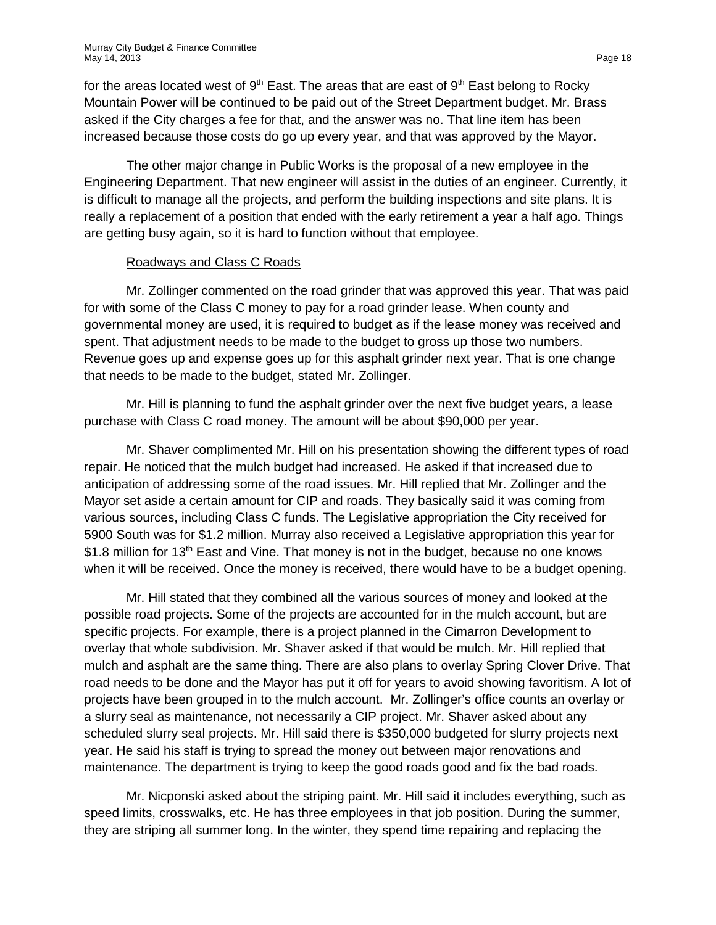for the areas located west of  $9<sup>th</sup>$  East. The areas that are east of  $9<sup>th</sup>$  East belong to Rocky Mountain Power will be continued to be paid out of the Street Department budget. Mr. Brass asked if the City charges a fee for that, and the answer was no. That line item has been increased because those costs do go up every year, and that was approved by the Mayor.

The other major change in Public Works is the proposal of a new employee in the Engineering Department. That new engineer will assist in the duties of an engineer. Currently, it is difficult to manage all the projects, and perform the building inspections and site plans. It is really a replacement of a position that ended with the early retirement a year a half ago. Things are getting busy again, so it is hard to function without that employee.

#### Roadways and Class C Roads

Mr. Zollinger commented on the road grinder that was approved this year. That was paid for with some of the Class C money to pay for a road grinder lease. When county and governmental money are used, it is required to budget as if the lease money was received and spent. That adjustment needs to be made to the budget to gross up those two numbers. Revenue goes up and expense goes up for this asphalt grinder next year. That is one change that needs to be made to the budget, stated Mr. Zollinger.

Mr. Hill is planning to fund the asphalt grinder over the next five budget years, a lease purchase with Class C road money. The amount will be about \$90,000 per year.

Mr. Shaver complimented Mr. Hill on his presentation showing the different types of road repair. He noticed that the mulch budget had increased. He asked if that increased due to anticipation of addressing some of the road issues. Mr. Hill replied that Mr. Zollinger and the Mayor set aside a certain amount for CIP and roads. They basically said it was coming from various sources, including Class C funds. The Legislative appropriation the City received for 5900 South was for \$1.2 million. Murray also received a Legislative appropriation this year for \$1.8 million for 13<sup>th</sup> East and Vine. That money is not in the budget, because no one knows when it will be received. Once the money is received, there would have to be a budget opening.

Mr. Hill stated that they combined all the various sources of money and looked at the possible road projects. Some of the projects are accounted for in the mulch account, but are specific projects. For example, there is a project planned in the Cimarron Development to overlay that whole subdivision. Mr. Shaver asked if that would be mulch. Mr. Hill replied that mulch and asphalt are the same thing. There are also plans to overlay Spring Clover Drive. That road needs to be done and the Mayor has put it off for years to avoid showing favoritism. A lot of projects have been grouped in to the mulch account. Mr. Zollinger's office counts an overlay or a slurry seal as maintenance, not necessarily a CIP project. Mr. Shaver asked about any scheduled slurry seal projects. Mr. Hill said there is \$350,000 budgeted for slurry projects next year. He said his staff is trying to spread the money out between major renovations and maintenance. The department is trying to keep the good roads good and fix the bad roads.

Mr. Nicponski asked about the striping paint. Mr. Hill said it includes everything, such as speed limits, crosswalks, etc. He has three employees in that job position. During the summer, they are striping all summer long. In the winter, they spend time repairing and replacing the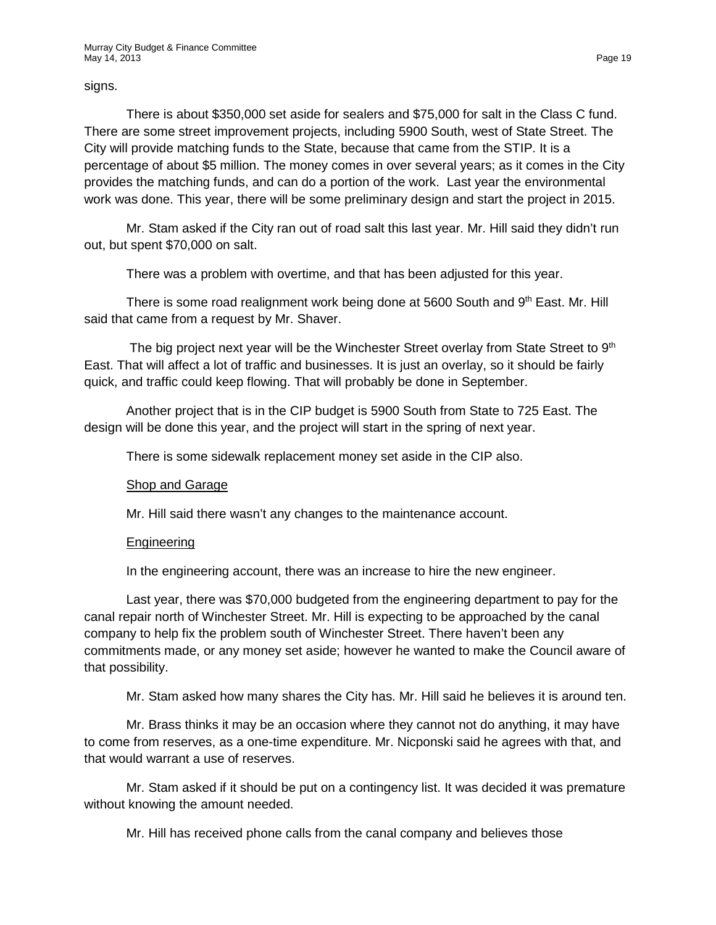signs.

There is about \$350,000 set aside for sealers and \$75,000 for salt in the Class C fund. There are some street improvement projects, including 5900 South, west of State Street. The City will provide matching funds to the State, because that came from the STIP. It is a percentage of about \$5 million. The money comes in over several years; as it comes in the City provides the matching funds, and can do a portion of the work. Last year the environmental work was done. This year, there will be some preliminary design and start the project in 2015.

Mr. Stam asked if the City ran out of road salt this last year. Mr. Hill said they didn't run out, but spent \$70,000 on salt.

There was a problem with overtime, and that has been adjusted for this year.

There is some road realignment work being done at 5600 South and 9th East. Mr. Hill said that came from a request by Mr. Shaver.

The big project next year will be the Winchester Street overlay from State Street to  $9<sup>th</sup>$ East. That will affect a lot of traffic and businesses. It is just an overlay, so it should be fairly quick, and traffic could keep flowing. That will probably be done in September.

Another project that is in the CIP budget is 5900 South from State to 725 East. The design will be done this year, and the project will start in the spring of next year.

There is some sidewalk replacement money set aside in the CIP also.

#### Shop and Garage

Mr. Hill said there wasn't any changes to the maintenance account.

#### Engineering

In the engineering account, there was an increase to hire the new engineer.

Last year, there was \$70,000 budgeted from the engineering department to pay for the canal repair north of Winchester Street. Mr. Hill is expecting to be approached by the canal company to help fix the problem south of Winchester Street. There haven't been any commitments made, or any money set aside; however he wanted to make the Council aware of that possibility.

Mr. Stam asked how many shares the City has. Mr. Hill said he believes it is around ten.

Mr. Brass thinks it may be an occasion where they cannot not do anything, it may have to come from reserves, as a one-time expenditure. Mr. Nicponski said he agrees with that, and that would warrant a use of reserves.

Mr. Stam asked if it should be put on a contingency list. It was decided it was premature without knowing the amount needed.

Mr. Hill has received phone calls from the canal company and believes those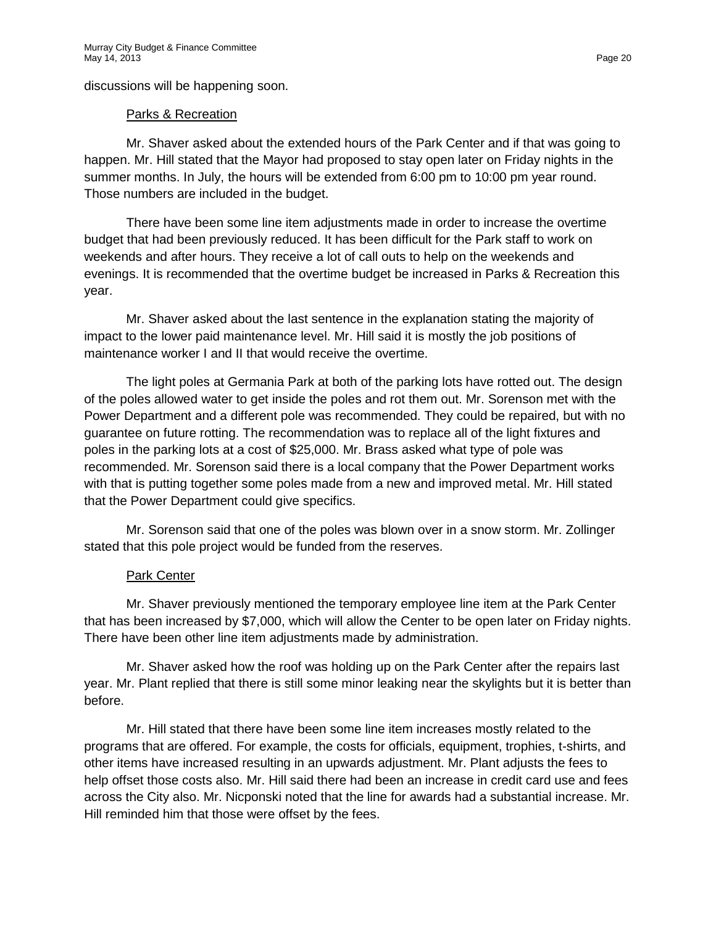discussions will be happening soon.

#### Parks & Recreation

Mr. Shaver asked about the extended hours of the Park Center and if that was going to happen. Mr. Hill stated that the Mayor had proposed to stay open later on Friday nights in the summer months. In July, the hours will be extended from 6:00 pm to 10:00 pm year round. Those numbers are included in the budget.

There have been some line item adjustments made in order to increase the overtime budget that had been previously reduced. It has been difficult for the Park staff to work on weekends and after hours. They receive a lot of call outs to help on the weekends and evenings. It is recommended that the overtime budget be increased in Parks & Recreation this year.

Mr. Shaver asked about the last sentence in the explanation stating the majority of impact to the lower paid maintenance level. Mr. Hill said it is mostly the job positions of maintenance worker I and II that would receive the overtime.

The light poles at Germania Park at both of the parking lots have rotted out. The design of the poles allowed water to get inside the poles and rot them out. Mr. Sorenson met with the Power Department and a different pole was recommended. They could be repaired, but with no guarantee on future rotting. The recommendation was to replace all of the light fixtures and poles in the parking lots at a cost of \$25,000. Mr. Brass asked what type of pole was recommended. Mr. Sorenson said there is a local company that the Power Department works with that is putting together some poles made from a new and improved metal. Mr. Hill stated that the Power Department could give specifics.

Mr. Sorenson said that one of the poles was blown over in a snow storm. Mr. Zollinger stated that this pole project would be funded from the reserves.

# Park Center

Mr. Shaver previously mentioned the temporary employee line item at the Park Center that has been increased by \$7,000, which will allow the Center to be open later on Friday nights. There have been other line item adjustments made by administration.

Mr. Shaver asked how the roof was holding up on the Park Center after the repairs last year. Mr. Plant replied that there is still some minor leaking near the skylights but it is better than before.

Mr. Hill stated that there have been some line item increases mostly related to the programs that are offered. For example, the costs for officials, equipment, trophies, t-shirts, and other items have increased resulting in an upwards adjustment. Mr. Plant adjusts the fees to help offset those costs also. Mr. Hill said there had been an increase in credit card use and fees across the City also. Mr. Nicponski noted that the line for awards had a substantial increase. Mr. Hill reminded him that those were offset by the fees.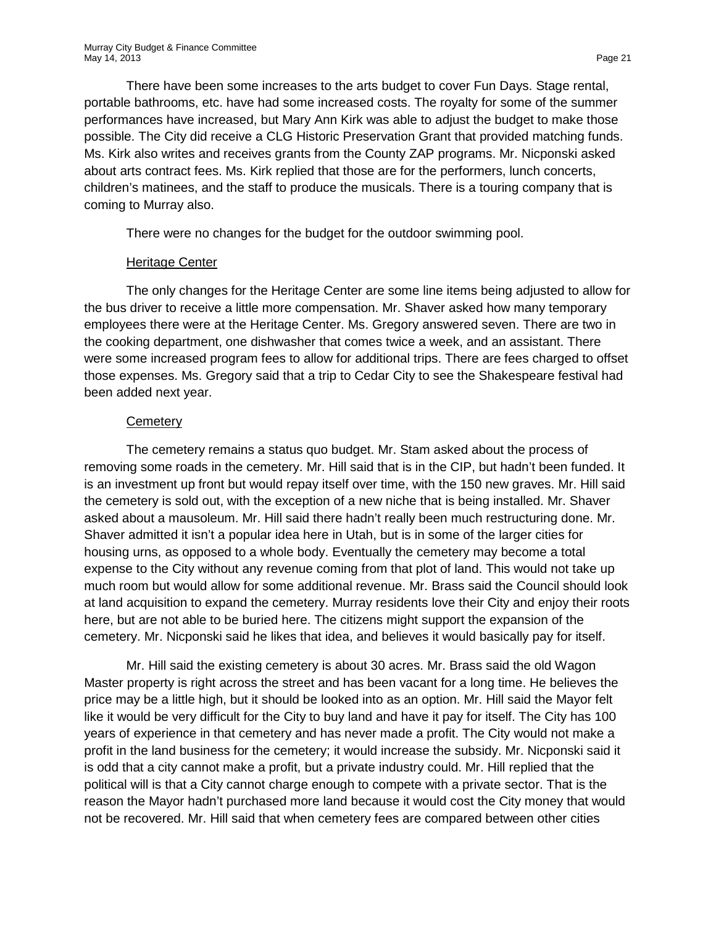There have been some increases to the arts budget to cover Fun Days. Stage rental, portable bathrooms, etc. have had some increased costs. The royalty for some of the summer performances have increased, but Mary Ann Kirk was able to adjust the budget to make those possible. The City did receive a CLG Historic Preservation Grant that provided matching funds. Ms. Kirk also writes and receives grants from the County ZAP programs. Mr. Nicponski asked about arts contract fees. Ms. Kirk replied that those are for the performers, lunch concerts, children's matinees, and the staff to produce the musicals. There is a touring company that is coming to Murray also.

There were no changes for the budget for the outdoor swimming pool.

#### Heritage Center

The only changes for the Heritage Center are some line items being adjusted to allow for the bus driver to receive a little more compensation. Mr. Shaver asked how many temporary employees there were at the Heritage Center. Ms. Gregory answered seven. There are two in the cooking department, one dishwasher that comes twice a week, and an assistant. There were some increased program fees to allow for additional trips. There are fees charged to offset those expenses. Ms. Gregory said that a trip to Cedar City to see the Shakespeare festival had been added next year.

#### **Cemetery**

The cemetery remains a status quo budget. Mr. Stam asked about the process of removing some roads in the cemetery. Mr. Hill said that is in the CIP, but hadn't been funded. It is an investment up front but would repay itself over time, with the 150 new graves. Mr. Hill said the cemetery is sold out, with the exception of a new niche that is being installed. Mr. Shaver asked about a mausoleum. Mr. Hill said there hadn't really been much restructuring done. Mr. Shaver admitted it isn't a popular idea here in Utah, but is in some of the larger cities for housing urns, as opposed to a whole body. Eventually the cemetery may become a total expense to the City without any revenue coming from that plot of land. This would not take up much room but would allow for some additional revenue. Mr. Brass said the Council should look at land acquisition to expand the cemetery. Murray residents love their City and enjoy their roots here, but are not able to be buried here. The citizens might support the expansion of the cemetery. Mr. Nicponski said he likes that idea, and believes it would basically pay for itself.

Mr. Hill said the existing cemetery is about 30 acres. Mr. Brass said the old Wagon Master property is right across the street and has been vacant for a long time. He believes the price may be a little high, but it should be looked into as an option. Mr. Hill said the Mayor felt like it would be very difficult for the City to buy land and have it pay for itself. The City has 100 years of experience in that cemetery and has never made a profit. The City would not make a profit in the land business for the cemetery; it would increase the subsidy. Mr. Nicponski said it is odd that a city cannot make a profit, but a private industry could. Mr. Hill replied that the political will is that a City cannot charge enough to compete with a private sector. That is the reason the Mayor hadn't purchased more land because it would cost the City money that would not be recovered. Mr. Hill said that when cemetery fees are compared between other cities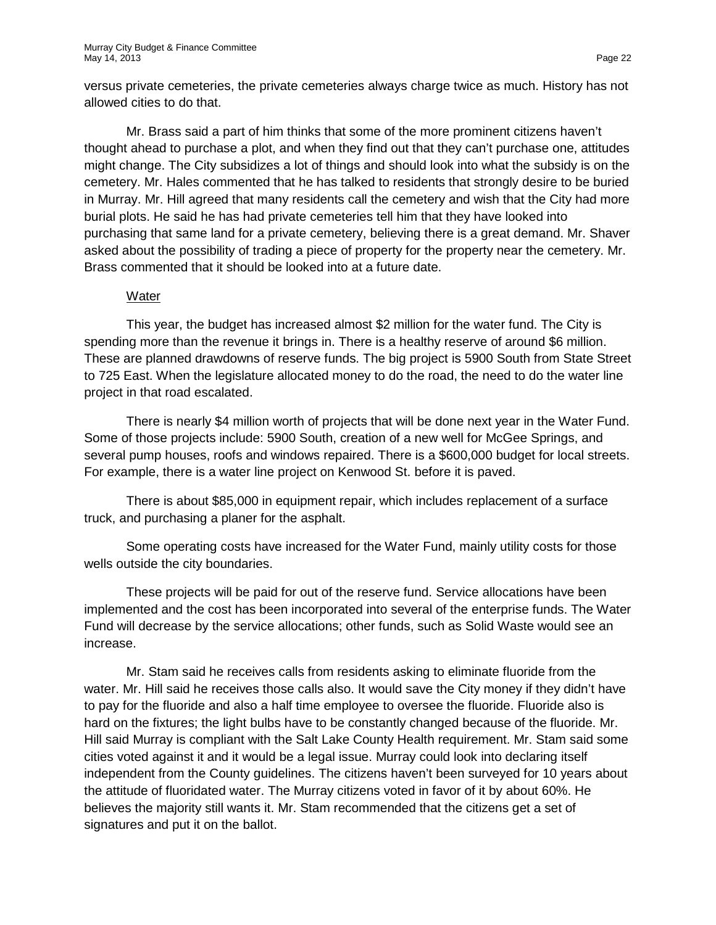versus private cemeteries, the private cemeteries always charge twice as much. History has not allowed cities to do that.

Mr. Brass said a part of him thinks that some of the more prominent citizens haven't thought ahead to purchase a plot, and when they find out that they can't purchase one, attitudes might change. The City subsidizes a lot of things and should look into what the subsidy is on the cemetery. Mr. Hales commented that he has talked to residents that strongly desire to be buried in Murray. Mr. Hill agreed that many residents call the cemetery and wish that the City had more burial plots. He said he has had private cemeteries tell him that they have looked into purchasing that same land for a private cemetery, believing there is a great demand. Mr. Shaver asked about the possibility of trading a piece of property for the property near the cemetery. Mr. Brass commented that it should be looked into at a future date.

#### Water

This year, the budget has increased almost \$2 million for the water fund. The City is spending more than the revenue it brings in. There is a healthy reserve of around \$6 million. These are planned drawdowns of reserve funds. The big project is 5900 South from State Street to 725 East. When the legislature allocated money to do the road, the need to do the water line project in that road escalated.

There is nearly \$4 million worth of projects that will be done next year in the Water Fund. Some of those projects include: 5900 South, creation of a new well for McGee Springs, and several pump houses, roofs and windows repaired. There is a \$600,000 budget for local streets. For example, there is a water line project on Kenwood St. before it is paved.

There is about \$85,000 in equipment repair, which includes replacement of a surface truck, and purchasing a planer for the asphalt.

Some operating costs have increased for the Water Fund, mainly utility costs for those wells outside the city boundaries.

These projects will be paid for out of the reserve fund. Service allocations have been implemented and the cost has been incorporated into several of the enterprise funds. The Water Fund will decrease by the service allocations; other funds, such as Solid Waste would see an increase.

Mr. Stam said he receives calls from residents asking to eliminate fluoride from the water. Mr. Hill said he receives those calls also. It would save the City money if they didn't have to pay for the fluoride and also a half time employee to oversee the fluoride. Fluoride also is hard on the fixtures; the light bulbs have to be constantly changed because of the fluoride. Mr. Hill said Murray is compliant with the Salt Lake County Health requirement. Mr. Stam said some cities voted against it and it would be a legal issue. Murray could look into declaring itself independent from the County guidelines. The citizens haven't been surveyed for 10 years about the attitude of fluoridated water. The Murray citizens voted in favor of it by about 60%. He believes the majority still wants it. Mr. Stam recommended that the citizens get a set of signatures and put it on the ballot.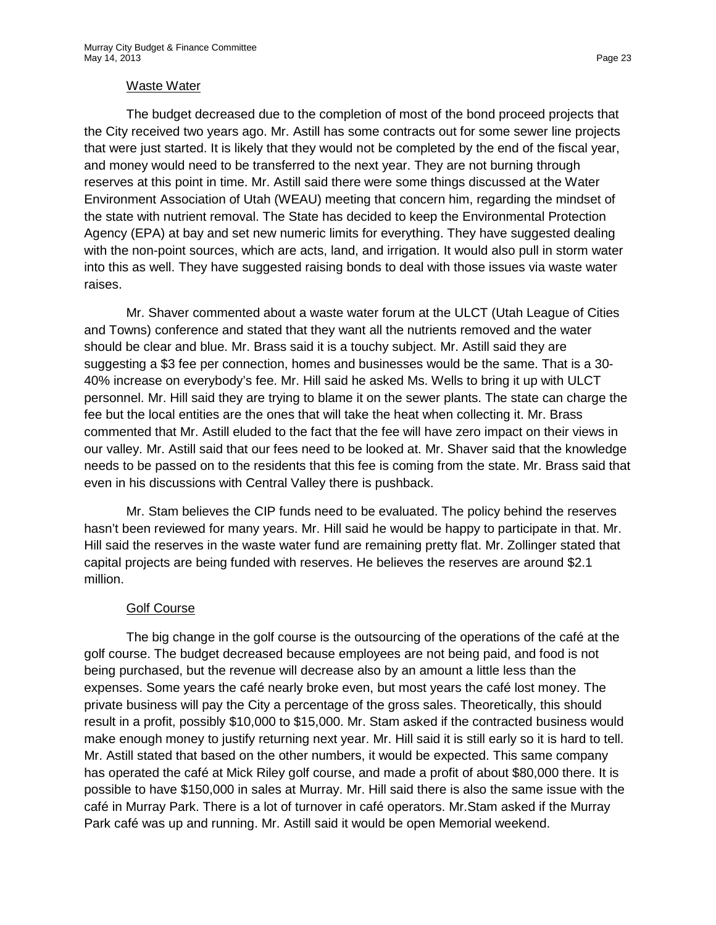#### Waste Water

The budget decreased due to the completion of most of the bond proceed projects that the City received two years ago. Mr. Astill has some contracts out for some sewer line projects that were just started. It is likely that they would not be completed by the end of the fiscal year, and money would need to be transferred to the next year. They are not burning through reserves at this point in time. Mr. Astill said there were some things discussed at the Water Environment Association of Utah (WEAU) meeting that concern him, regarding the mindset of the state with nutrient removal. The State has decided to keep the Environmental Protection Agency (EPA) at bay and set new numeric limits for everything. They have suggested dealing with the non-point sources, which are acts, land, and irrigation. It would also pull in storm water into this as well. They have suggested raising bonds to deal with those issues via waste water raises.

Mr. Shaver commented about a waste water forum at the ULCT (Utah League of Cities and Towns) conference and stated that they want all the nutrients removed and the water should be clear and blue. Mr. Brass said it is a touchy subject. Mr. Astill said they are suggesting a \$3 fee per connection, homes and businesses would be the same. That is a 30- 40% increase on everybody's fee. Mr. Hill said he asked Ms. Wells to bring it up with ULCT personnel. Mr. Hill said they are trying to blame it on the sewer plants. The state can charge the fee but the local entities are the ones that will take the heat when collecting it. Mr. Brass commented that Mr. Astill eluded to the fact that the fee will have zero impact on their views in our valley. Mr. Astill said that our fees need to be looked at. Mr. Shaver said that the knowledge needs to be passed on to the residents that this fee is coming from the state. Mr. Brass said that even in his discussions with Central Valley there is pushback.

Mr. Stam believes the CIP funds need to be evaluated. The policy behind the reserves hasn't been reviewed for many years. Mr. Hill said he would be happy to participate in that. Mr. Hill said the reserves in the waste water fund are remaining pretty flat. Mr. Zollinger stated that capital projects are being funded with reserves. He believes the reserves are around \$2.1 million.

# Golf Course

The big change in the golf course is the outsourcing of the operations of the café at the golf course. The budget decreased because employees are not being paid, and food is not being purchased, but the revenue will decrease also by an amount a little less than the expenses. Some years the café nearly broke even, but most years the café lost money. The private business will pay the City a percentage of the gross sales. Theoretically, this should result in a profit, possibly \$10,000 to \$15,000. Mr. Stam asked if the contracted business would make enough money to justify returning next year. Mr. Hill said it is still early so it is hard to tell. Mr. Astill stated that based on the other numbers, it would be expected. This same company has operated the café at Mick Riley golf course, and made a profit of about \$80,000 there. It is possible to have \$150,000 in sales at Murray. Mr. Hill said there is also the same issue with the café in Murray Park. There is a lot of turnover in café operators. Mr.Stam asked if the Murray Park café was up and running. Mr. Astill said it would be open Memorial weekend.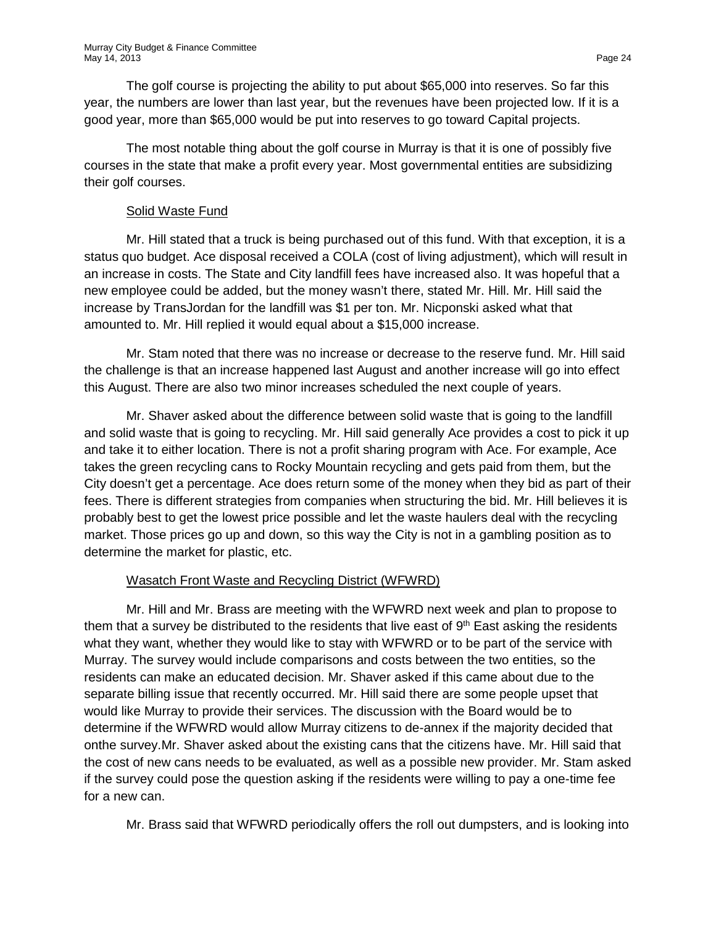The golf course is projecting the ability to put about \$65,000 into reserves. So far this year, the numbers are lower than last year, but the revenues have been projected low. If it is a good year, more than \$65,000 would be put into reserves to go toward Capital projects.

The most notable thing about the golf course in Murray is that it is one of possibly five courses in the state that make a profit every year. Most governmental entities are subsidizing their golf courses.

# Solid Waste Fund

Mr. Hill stated that a truck is being purchased out of this fund. With that exception, it is a status quo budget. Ace disposal received a COLA (cost of living adjustment), which will result in an increase in costs. The State and City landfill fees have increased also. It was hopeful that a new employee could be added, but the money wasn't there, stated Mr. Hill. Mr. Hill said the increase by TransJordan for the landfill was \$1 per ton. Mr. Nicponski asked what that amounted to. Mr. Hill replied it would equal about a \$15,000 increase.

Mr. Stam noted that there was no increase or decrease to the reserve fund. Mr. Hill said the challenge is that an increase happened last August and another increase will go into effect this August. There are also two minor increases scheduled the next couple of years.

Mr. Shaver asked about the difference between solid waste that is going to the landfill and solid waste that is going to recycling. Mr. Hill said generally Ace provides a cost to pick it up and take it to either location. There is not a profit sharing program with Ace. For example, Ace takes the green recycling cans to Rocky Mountain recycling and gets paid from them, but the City doesn't get a percentage. Ace does return some of the money when they bid as part of their fees. There is different strategies from companies when structuring the bid. Mr. Hill believes it is probably best to get the lowest price possible and let the waste haulers deal with the recycling market. Those prices go up and down, so this way the City is not in a gambling position as to determine the market for plastic, etc.

# Wasatch Front Waste and Recycling District (WFWRD)

Mr. Hill and Mr. Brass are meeting with the WFWRD next week and plan to propose to them that a survey be distributed to the residents that live east of  $9<sup>th</sup>$  East asking the residents what they want, whether they would like to stay with WFWRD or to be part of the service with Murray. The survey would include comparisons and costs between the two entities, so the residents can make an educated decision. Mr. Shaver asked if this came about due to the separate billing issue that recently occurred. Mr. Hill said there are some people upset that would like Murray to provide their services. The discussion with the Board would be to determine if the WFWRD would allow Murray citizens to de-annex if the majority decided that onthe survey.Mr. Shaver asked about the existing cans that the citizens have. Mr. Hill said that the cost of new cans needs to be evaluated, as well as a possible new provider. Mr. Stam asked if the survey could pose the question asking if the residents were willing to pay a one-time fee for a new can.

Mr. Brass said that WFWRD periodically offers the roll out dumpsters, and is looking into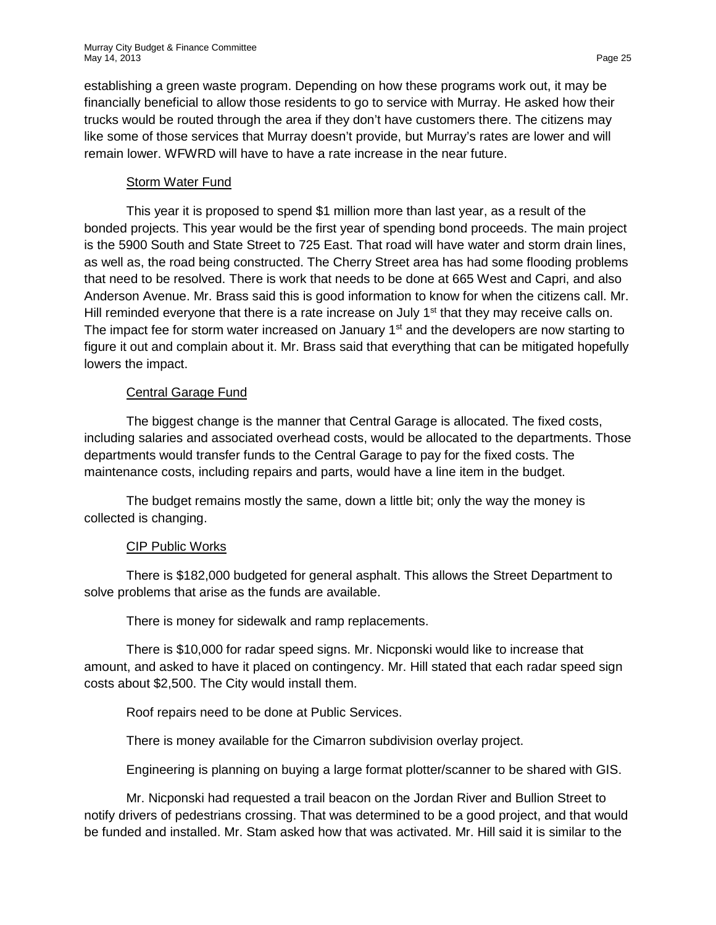establishing a green waste program. Depending on how these programs work out, it may be financially beneficial to allow those residents to go to service with Murray. He asked how their trucks would be routed through the area if they don't have customers there. The citizens may like some of those services that Murray doesn't provide, but Murray's rates are lower and will remain lower. WFWRD will have to have a rate increase in the near future.

#### Storm Water Fund

This year it is proposed to spend \$1 million more than last year, as a result of the bonded projects. This year would be the first year of spending bond proceeds. The main project is the 5900 South and State Street to 725 East. That road will have water and storm drain lines, as well as, the road being constructed. The Cherry Street area has had some flooding problems that need to be resolved. There is work that needs to be done at 665 West and Capri, and also Anderson Avenue. Mr. Brass said this is good information to know for when the citizens call. Mr. Hill reminded everyone that there is a rate increase on July  $1<sup>st</sup>$  that they may receive calls on. The impact fee for storm water increased on January  $1<sup>st</sup>$  and the developers are now starting to figure it out and complain about it. Mr. Brass said that everything that can be mitigated hopefully lowers the impact.

# Central Garage Fund

The biggest change is the manner that Central Garage is allocated. The fixed costs, including salaries and associated overhead costs, would be allocated to the departments. Those departments would transfer funds to the Central Garage to pay for the fixed costs. The maintenance costs, including repairs and parts, would have a line item in the budget.

The budget remains mostly the same, down a little bit; only the way the money is collected is changing.

# CIP Public Works

There is \$182,000 budgeted for general asphalt. This allows the Street Department to solve problems that arise as the funds are available.

There is money for sidewalk and ramp replacements.

There is \$10,000 for radar speed signs. Mr. Nicponski would like to increase that amount, and asked to have it placed on contingency. Mr. Hill stated that each radar speed sign costs about \$2,500. The City would install them.

Roof repairs need to be done at Public Services.

There is money available for the Cimarron subdivision overlay project.

Engineering is planning on buying a large format plotter/scanner to be shared with GIS.

Mr. Nicponski had requested a trail beacon on the Jordan River and Bullion Street to notify drivers of pedestrians crossing. That was determined to be a good project, and that would be funded and installed. Mr. Stam asked how that was activated. Mr. Hill said it is similar to the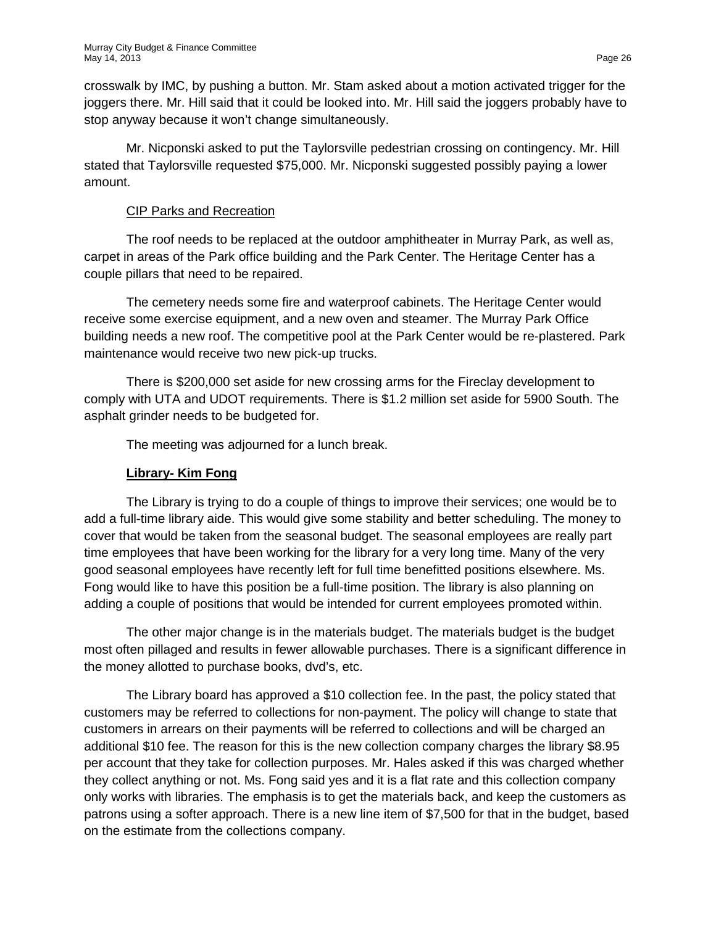crosswalk by IMC, by pushing a button. Mr. Stam asked about a motion activated trigger for the joggers there. Mr. Hill said that it could be looked into. Mr. Hill said the joggers probably have to stop anyway because it won't change simultaneously.

Mr. Nicponski asked to put the Taylorsville pedestrian crossing on contingency. Mr. Hill stated that Taylorsville requested \$75,000. Mr. Nicponski suggested possibly paying a lower amount.

# CIP Parks and Recreation

The roof needs to be replaced at the outdoor amphitheater in Murray Park, as well as, carpet in areas of the Park office building and the Park Center. The Heritage Center has a couple pillars that need to be repaired.

The cemetery needs some fire and waterproof cabinets. The Heritage Center would receive some exercise equipment, and a new oven and steamer. The Murray Park Office building needs a new roof. The competitive pool at the Park Center would be re-plastered. Park maintenance would receive two new pick-up trucks.

There is \$200,000 set aside for new crossing arms for the Fireclay development to comply with UTA and UDOT requirements. There is \$1.2 million set aside for 5900 South. The asphalt grinder needs to be budgeted for.

The meeting was adjourned for a lunch break.

# **Library- Kim Fong**

The Library is trying to do a couple of things to improve their services; one would be to add a full-time library aide. This would give some stability and better scheduling. The money to cover that would be taken from the seasonal budget. The seasonal employees are really part time employees that have been working for the library for a very long time. Many of the very good seasonal employees have recently left for full time benefitted positions elsewhere. Ms. Fong would like to have this position be a full-time position. The library is also planning on adding a couple of positions that would be intended for current employees promoted within.

The other major change is in the materials budget. The materials budget is the budget most often pillaged and results in fewer allowable purchases. There is a significant difference in the money allotted to purchase books, dvd's, etc.

The Library board has approved a \$10 collection fee. In the past, the policy stated that customers may be referred to collections for non-payment. The policy will change to state that customers in arrears on their payments will be referred to collections and will be charged an additional \$10 fee. The reason for this is the new collection company charges the library \$8.95 per account that they take for collection purposes. Mr. Hales asked if this was charged whether they collect anything or not. Ms. Fong said yes and it is a flat rate and this collection company only works with libraries. The emphasis is to get the materials back, and keep the customers as patrons using a softer approach. There is a new line item of \$7,500 for that in the budget, based on the estimate from the collections company.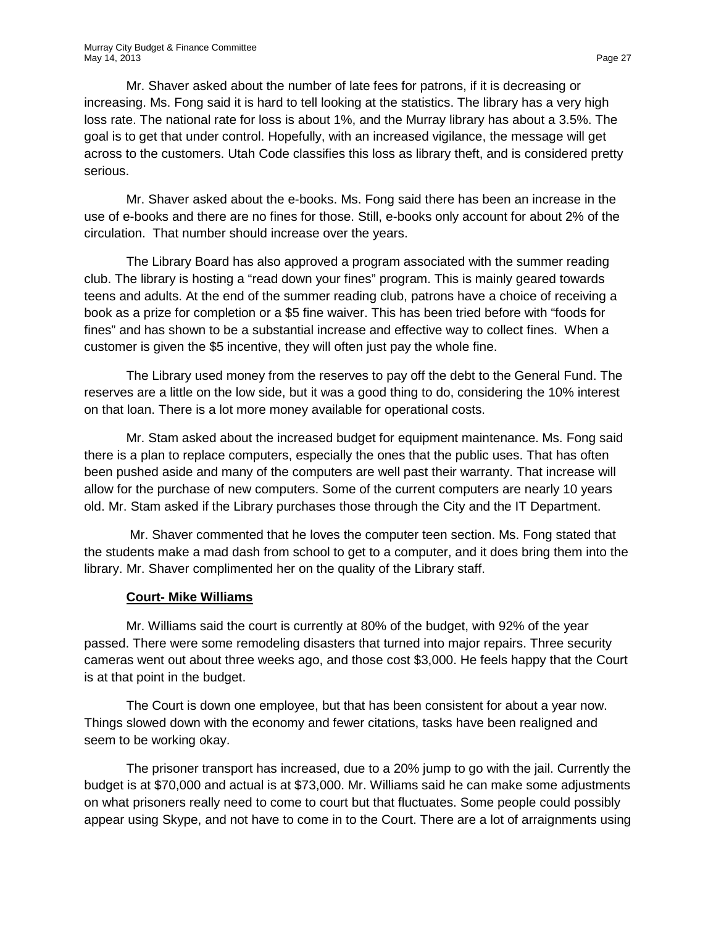Mr. Shaver asked about the number of late fees for patrons, if it is decreasing or increasing. Ms. Fong said it is hard to tell looking at the statistics. The library has a very high loss rate. The national rate for loss is about 1%, and the Murray library has about a 3.5%. The goal is to get that under control. Hopefully, with an increased vigilance, the message will get across to the customers. Utah Code classifies this loss as library theft, and is considered pretty serious.

Mr. Shaver asked about the e-books. Ms. Fong said there has been an increase in the use of e-books and there are no fines for those. Still, e-books only account for about 2% of the circulation. That number should increase over the years.

The Library Board has also approved a program associated with the summer reading club. The library is hosting a "read down your fines" program. This is mainly geared towards teens and adults. At the end of the summer reading club, patrons have a choice of receiving a book as a prize for completion or a \$5 fine waiver. This has been tried before with "foods for fines" and has shown to be a substantial increase and effective way to collect fines. When a customer is given the \$5 incentive, they will often just pay the whole fine.

The Library used money from the reserves to pay off the debt to the General Fund. The reserves are a little on the low side, but it was a good thing to do, considering the 10% interest on that loan. There is a lot more money available for operational costs.

Mr. Stam asked about the increased budget for equipment maintenance. Ms. Fong said there is a plan to replace computers, especially the ones that the public uses. That has often been pushed aside and many of the computers are well past their warranty. That increase will allow for the purchase of new computers. Some of the current computers are nearly 10 years old. Mr. Stam asked if the Library purchases those through the City and the IT Department.

Mr. Shaver commented that he loves the computer teen section. Ms. Fong stated that the students make a mad dash from school to get to a computer, and it does bring them into the library. Mr. Shaver complimented her on the quality of the Library staff.

#### **Court- Mike Williams**

Mr. Williams said the court is currently at 80% of the budget, with 92% of the year passed. There were some remodeling disasters that turned into major repairs. Three security cameras went out about three weeks ago, and those cost \$3,000. He feels happy that the Court is at that point in the budget.

The Court is down one employee, but that has been consistent for about a year now. Things slowed down with the economy and fewer citations, tasks have been realigned and seem to be working okay.

The prisoner transport has increased, due to a 20% jump to go with the jail. Currently the budget is at \$70,000 and actual is at \$73,000. Mr. Williams said he can make some adjustments on what prisoners really need to come to court but that fluctuates. Some people could possibly appear using Skype, and not have to come in to the Court. There are a lot of arraignments using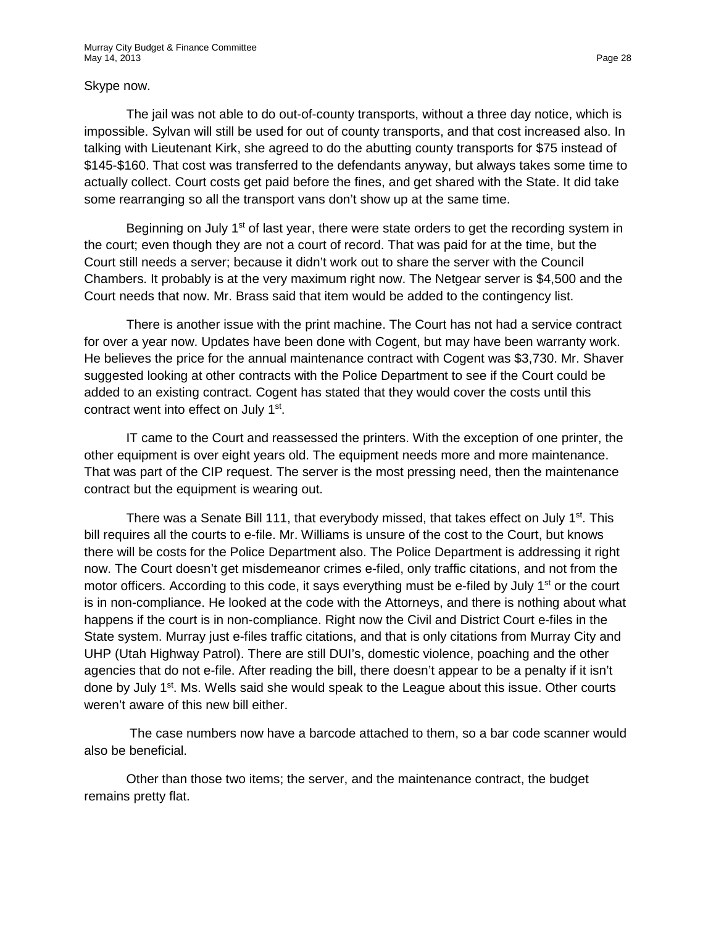#### Skype now.

The jail was not able to do out-of-county transports, without a three day notice, which is impossible. Sylvan will still be used for out of county transports, and that cost increased also. In talking with Lieutenant Kirk, she agreed to do the abutting county transports for \$75 instead of \$145-\$160. That cost was transferred to the defendants anyway, but always takes some time to actually collect. Court costs get paid before the fines, and get shared with the State. It did take some rearranging so all the transport vans don't show up at the same time.

Beginning on July 1<sup>st</sup> of last year, there were state orders to get the recording system in the court; even though they are not a court of record. That was paid for at the time, but the Court still needs a server; because it didn't work out to share the server with the Council Chambers. It probably is at the very maximum right now. The Netgear server is \$4,500 and the Court needs that now. Mr. Brass said that item would be added to the contingency list.

There is another issue with the print machine. The Court has not had a service contract for over a year now. Updates have been done with Cogent, but may have been warranty work. He believes the price for the annual maintenance contract with Cogent was \$3,730. Mr. Shaver suggested looking at other contracts with the Police Department to see if the Court could be added to an existing contract. Cogent has stated that they would cover the costs until this contract went into effect on July 1st.

IT came to the Court and reassessed the printers. With the exception of one printer, the other equipment is over eight years old. The equipment needs more and more maintenance. That was part of the CIP request. The server is the most pressing need, then the maintenance contract but the equipment is wearing out.

There was a Senate Bill 111, that everybody missed, that takes effect on July 1<sup>st</sup>. This bill requires all the courts to e-file. Mr. Williams is unsure of the cost to the Court, but knows there will be costs for the Police Department also. The Police Department is addressing it right now. The Court doesn't get misdemeanor crimes e-filed, only traffic citations, and not from the motor officers. According to this code, it says everything must be e-filed by July  $1<sup>st</sup>$  or the court is in non-compliance. He looked at the code with the Attorneys, and there is nothing about what happens if the court is in non-compliance. Right now the Civil and District Court e-files in the State system. Murray just e-files traffic citations, and that is only citations from Murray City and UHP (Utah Highway Patrol). There are still DUI's, domestic violence, poaching and the other agencies that do not e-file. After reading the bill, there doesn't appear to be a penalty if it isn't done by July 1<sup>st</sup>. Ms. Wells said she would speak to the League about this issue. Other courts weren't aware of this new bill either.

The case numbers now have a barcode attached to them, so a bar code scanner would also be beneficial.

Other than those two items; the server, and the maintenance contract, the budget remains pretty flat.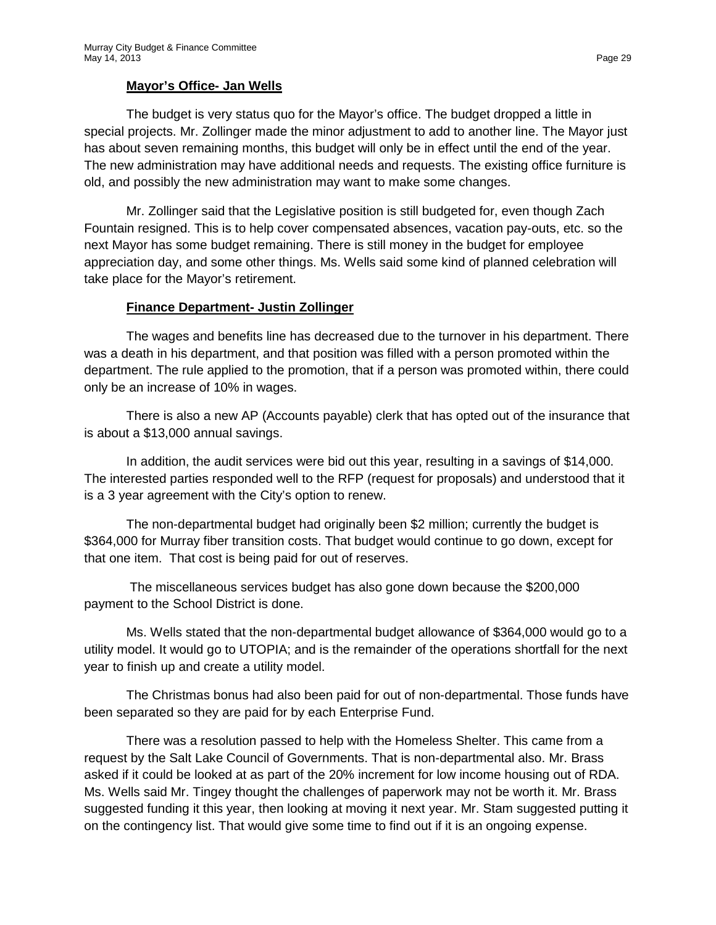# **Mayor's Office- Jan Wells**

The budget is very status quo for the Mayor's office. The budget dropped a little in special projects. Mr. Zollinger made the minor adjustment to add to another line. The Mayor just has about seven remaining months, this budget will only be in effect until the end of the year. The new administration may have additional needs and requests. The existing office furniture is old, and possibly the new administration may want to make some changes.

Mr. Zollinger said that the Legislative position is still budgeted for, even though Zach Fountain resigned. This is to help cover compensated absences, vacation pay-outs, etc. so the next Mayor has some budget remaining. There is still money in the budget for employee appreciation day, and some other things. Ms. Wells said some kind of planned celebration will take place for the Mayor's retirement.

#### **Finance Department- Justin Zollinger**

The wages and benefits line has decreased due to the turnover in his department. There was a death in his department, and that position was filled with a person promoted within the department. The rule applied to the promotion, that if a person was promoted within, there could only be an increase of 10% in wages.

There is also a new AP (Accounts payable) clerk that has opted out of the insurance that is about a \$13,000 annual savings.

In addition, the audit services were bid out this year, resulting in a savings of \$14,000. The interested parties responded well to the RFP (request for proposals) and understood that it is a 3 year agreement with the City's option to renew.

The non-departmental budget had originally been \$2 million; currently the budget is \$364,000 for Murray fiber transition costs. That budget would continue to go down, except for that one item. That cost is being paid for out of reserves.

The miscellaneous services budget has also gone down because the \$200,000 payment to the School District is done.

Ms. Wells stated that the non-departmental budget allowance of \$364,000 would go to a utility model. It would go to UTOPIA; and is the remainder of the operations shortfall for the next year to finish up and create a utility model.

The Christmas bonus had also been paid for out of non-departmental. Those funds have been separated so they are paid for by each Enterprise Fund.

There was a resolution passed to help with the Homeless Shelter. This came from a request by the Salt Lake Council of Governments. That is non-departmental also. Mr. Brass asked if it could be looked at as part of the 20% increment for low income housing out of RDA. Ms. Wells said Mr. Tingey thought the challenges of paperwork may not be worth it. Mr. Brass suggested funding it this year, then looking at moving it next year. Mr. Stam suggested putting it on the contingency list. That would give some time to find out if it is an ongoing expense.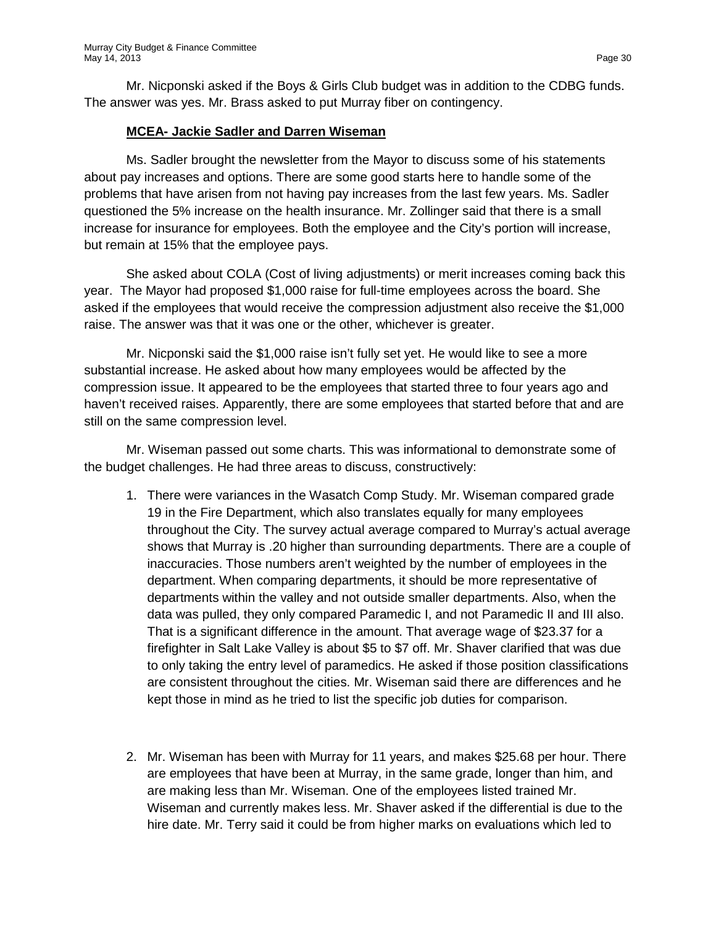Mr. Nicponski asked if the Boys & Girls Club budget was in addition to the CDBG funds. The answer was yes. Mr. Brass asked to put Murray fiber on contingency.

#### **MCEA- Jackie Sadler and Darren Wiseman**

Ms. Sadler brought the newsletter from the Mayor to discuss some of his statements about pay increases and options. There are some good starts here to handle some of the problems that have arisen from not having pay increases from the last few years. Ms. Sadler questioned the 5% increase on the health insurance. Mr. Zollinger said that there is a small increase for insurance for employees. Both the employee and the City's portion will increase, but remain at 15% that the employee pays.

She asked about COLA (Cost of living adjustments) or merit increases coming back this year. The Mayor had proposed \$1,000 raise for full-time employees across the board. She asked if the employees that would receive the compression adjustment also receive the \$1,000 raise. The answer was that it was one or the other, whichever is greater.

Mr. Nicponski said the \$1,000 raise isn't fully set yet. He would like to see a more substantial increase. He asked about how many employees would be affected by the compression issue. It appeared to be the employees that started three to four years ago and haven't received raises. Apparently, there are some employees that started before that and are still on the same compression level.

Mr. Wiseman passed out some charts. This was informational to demonstrate some of the budget challenges. He had three areas to discuss, constructively:

- 1. There were variances in the Wasatch Comp Study. Mr. Wiseman compared grade 19 in the Fire Department, which also translates equally for many employees throughout the City. The survey actual average compared to Murray's actual average shows that Murray is .20 higher than surrounding departments. There are a couple of inaccuracies. Those numbers aren't weighted by the number of employees in the department. When comparing departments, it should be more representative of departments within the valley and not outside smaller departments. Also, when the data was pulled, they only compared Paramedic I, and not Paramedic II and III also. That is a significant difference in the amount. That average wage of \$23.37 for a firefighter in Salt Lake Valley is about \$5 to \$7 off. Mr. Shaver clarified that was due to only taking the entry level of paramedics. He asked if those position classifications are consistent throughout the cities. Mr. Wiseman said there are differences and he kept those in mind as he tried to list the specific job duties for comparison.
- 2. Mr. Wiseman has been with Murray for 11 years, and makes \$25.68 per hour. There are employees that have been at Murray, in the same grade, longer than him, and are making less than Mr. Wiseman. One of the employees listed trained Mr. Wiseman and currently makes less. Mr. Shaver asked if the differential is due to the hire date. Mr. Terry said it could be from higher marks on evaluations which led to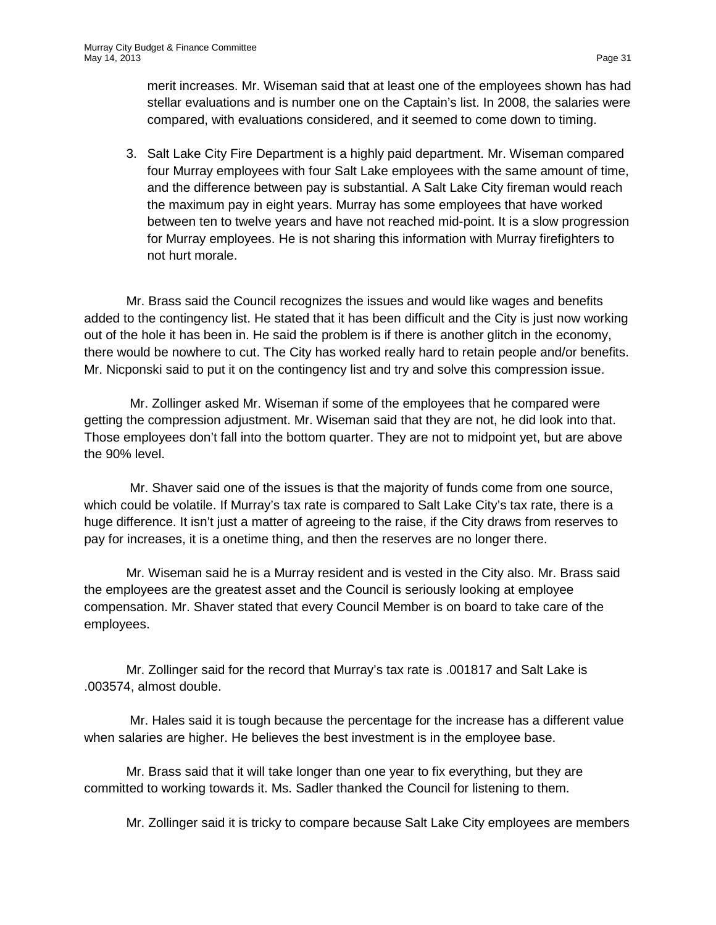merit increases. Mr. Wiseman said that at least one of the employees shown has had stellar evaluations and is number one on the Captain's list. In 2008, the salaries were compared, with evaluations considered, and it seemed to come down to timing.

3. Salt Lake City Fire Department is a highly paid department. Mr. Wiseman compared four Murray employees with four Salt Lake employees with the same amount of time, and the difference between pay is substantial. A Salt Lake City fireman would reach the maximum pay in eight years. Murray has some employees that have worked between ten to twelve years and have not reached mid-point. It is a slow progression for Murray employees. He is not sharing this information with Murray firefighters to not hurt morale.

Mr. Brass said the Council recognizes the issues and would like wages and benefits added to the contingency list. He stated that it has been difficult and the City is just now working out of the hole it has been in. He said the problem is if there is another glitch in the economy, there would be nowhere to cut. The City has worked really hard to retain people and/or benefits. Mr. Nicponski said to put it on the contingency list and try and solve this compression issue.

Mr. Zollinger asked Mr. Wiseman if some of the employees that he compared were getting the compression adjustment. Mr. Wiseman said that they are not, he did look into that. Those employees don't fall into the bottom quarter. They are not to midpoint yet, but are above the 90% level.

Mr. Shaver said one of the issues is that the majority of funds come from one source, which could be volatile. If Murray's tax rate is compared to Salt Lake City's tax rate, there is a huge difference. It isn't just a matter of agreeing to the raise, if the City draws from reserves to pay for increases, it is a onetime thing, and then the reserves are no longer there.

Mr. Wiseman said he is a Murray resident and is vested in the City also. Mr. Brass said the employees are the greatest asset and the Council is seriously looking at employee compensation. Mr. Shaver stated that every Council Member is on board to take care of the employees.

Mr. Zollinger said for the record that Murray's tax rate is .001817 and Salt Lake is .003574, almost double.

Mr. Hales said it is tough because the percentage for the increase has a different value when salaries are higher. He believes the best investment is in the employee base.

Mr. Brass said that it will take longer than one year to fix everything, but they are committed to working towards it. Ms. Sadler thanked the Council for listening to them.

Mr. Zollinger said it is tricky to compare because Salt Lake City employees are members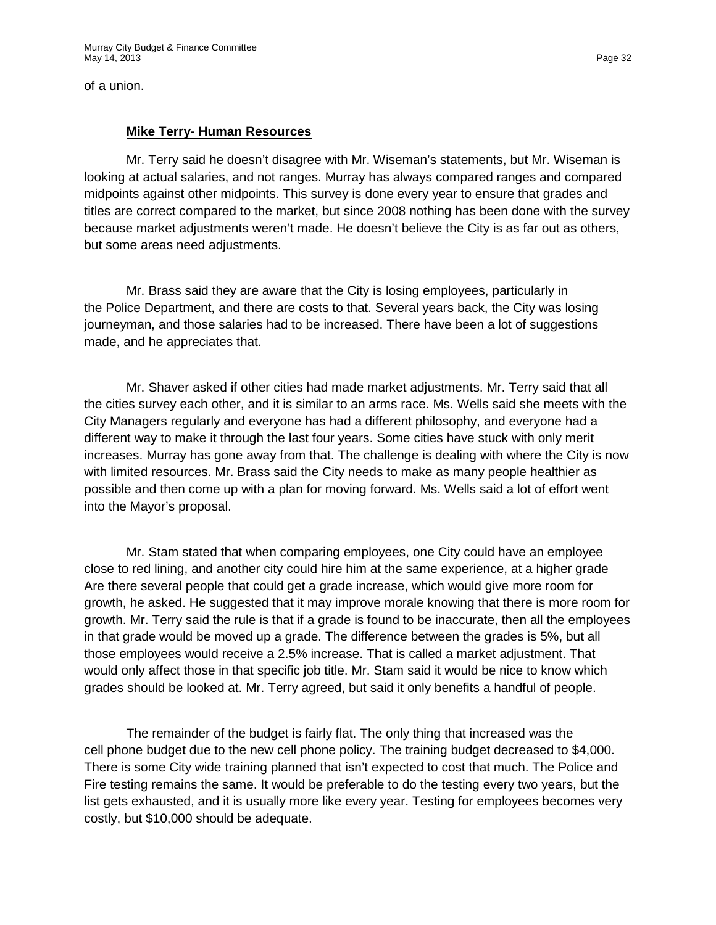of a union.

#### **Mike Terry- Human Resources**

Mr. Terry said he doesn't disagree with Mr. Wiseman's statements, but Mr. Wiseman is looking at actual salaries, and not ranges. Murray has always compared ranges and compared midpoints against other midpoints. This survey is done every year to ensure that grades and titles are correct compared to the market, but since 2008 nothing has been done with the survey because market adjustments weren't made. He doesn't believe the City is as far out as others, but some areas need adjustments.

Mr. Brass said they are aware that the City is losing employees, particularly in the Police Department, and there are costs to that. Several years back, the City was losing journeyman, and those salaries had to be increased. There have been a lot of suggestions made, and he appreciates that.

Mr. Shaver asked if other cities had made market adjustments. Mr. Terry said that all the cities survey each other, and it is similar to an arms race. Ms. Wells said she meets with the City Managers regularly and everyone has had a different philosophy, and everyone had a different way to make it through the last four years. Some cities have stuck with only merit increases. Murray has gone away from that. The challenge is dealing with where the City is now with limited resources. Mr. Brass said the City needs to make as many people healthier as possible and then come up with a plan for moving forward. Ms. Wells said a lot of effort went into the Mayor's proposal.

Mr. Stam stated that when comparing employees, one City could have an employee close to red lining, and another city could hire him at the same experience, at a higher grade Are there several people that could get a grade increase, which would give more room for growth, he asked. He suggested that it may improve morale knowing that there is more room for growth. Mr. Terry said the rule is that if a grade is found to be inaccurate, then all the employees in that grade would be moved up a grade. The difference between the grades is 5%, but all those employees would receive a 2.5% increase. That is called a market adjustment. That would only affect those in that specific job title. Mr. Stam said it would be nice to know which grades should be looked at. Mr. Terry agreed, but said it only benefits a handful of people.

The remainder of the budget is fairly flat. The only thing that increased was the cell phone budget due to the new cell phone policy. The training budget decreased to \$4,000. There is some City wide training planned that isn't expected to cost that much. The Police and Fire testing remains the same. It would be preferable to do the testing every two years, but the list gets exhausted, and it is usually more like every year. Testing for employees becomes very costly, but \$10,000 should be adequate.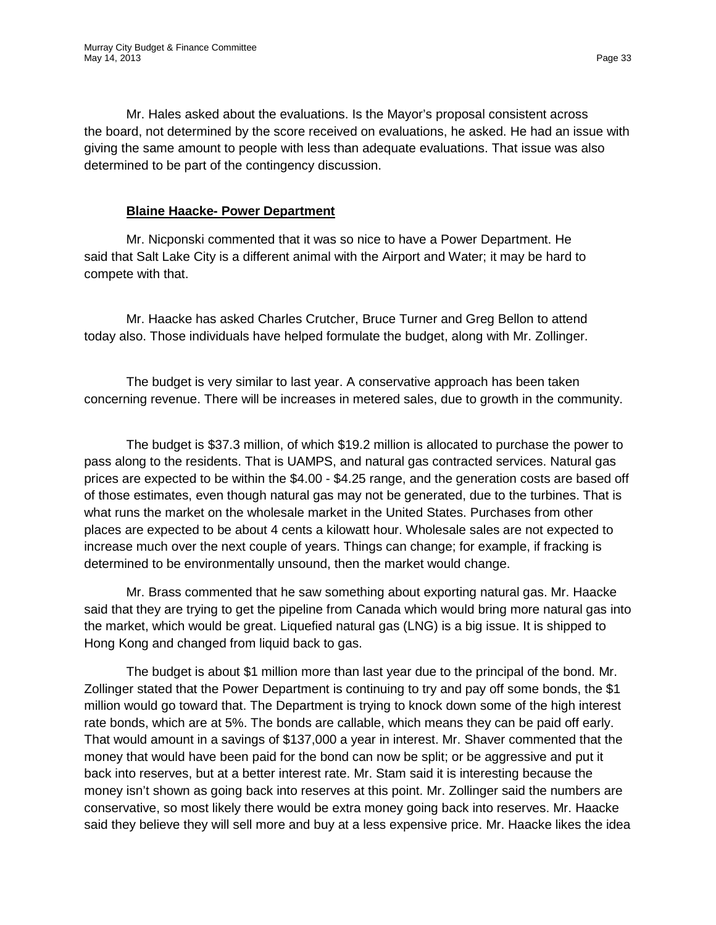Mr. Hales asked about the evaluations. Is the Mayor's proposal consistent across the board, not determined by the score received on evaluations, he asked. He had an issue with giving the same amount to people with less than adequate evaluations. That issue was also determined to be part of the contingency discussion.

#### **Blaine Haacke- Power Department**

Mr. Nicponski commented that it was so nice to have a Power Department. He said that Salt Lake City is a different animal with the Airport and Water; it may be hard to compete with that.

Mr. Haacke has asked Charles Crutcher, Bruce Turner and Greg Bellon to attend today also. Those individuals have helped formulate the budget, along with Mr. Zollinger.

The budget is very similar to last year. A conservative approach has been taken concerning revenue. There will be increases in metered sales, due to growth in the community.

The budget is \$37.3 million, of which \$19.2 million is allocated to purchase the power to pass along to the residents. That is UAMPS, and natural gas contracted services. Natural gas prices are expected to be within the \$4.00 - \$4.25 range, and the generation costs are based off of those estimates, even though natural gas may not be generated, due to the turbines. That is what runs the market on the wholesale market in the United States. Purchases from other places are expected to be about 4 cents a kilowatt hour. Wholesale sales are not expected to increase much over the next couple of years. Things can change; for example, if fracking is determined to be environmentally unsound, then the market would change.

Mr. Brass commented that he saw something about exporting natural gas. Mr. Haacke said that they are trying to get the pipeline from Canada which would bring more natural gas into the market, which would be great. Liquefied natural gas (LNG) is a big issue. It is shipped to Hong Kong and changed from liquid back to gas.

The budget is about \$1 million more than last year due to the principal of the bond. Mr. Zollinger stated that the Power Department is continuing to try and pay off some bonds, the \$1 million would go toward that. The Department is trying to knock down some of the high interest rate bonds, which are at 5%. The bonds are callable, which means they can be paid off early. That would amount in a savings of \$137,000 a year in interest. Mr. Shaver commented that the money that would have been paid for the bond can now be split; or be aggressive and put it back into reserves, but at a better interest rate. Mr. Stam said it is interesting because the money isn't shown as going back into reserves at this point. Mr. Zollinger said the numbers are conservative, so most likely there would be extra money going back into reserves. Mr. Haacke said they believe they will sell more and buy at a less expensive price. Mr. Haacke likes the idea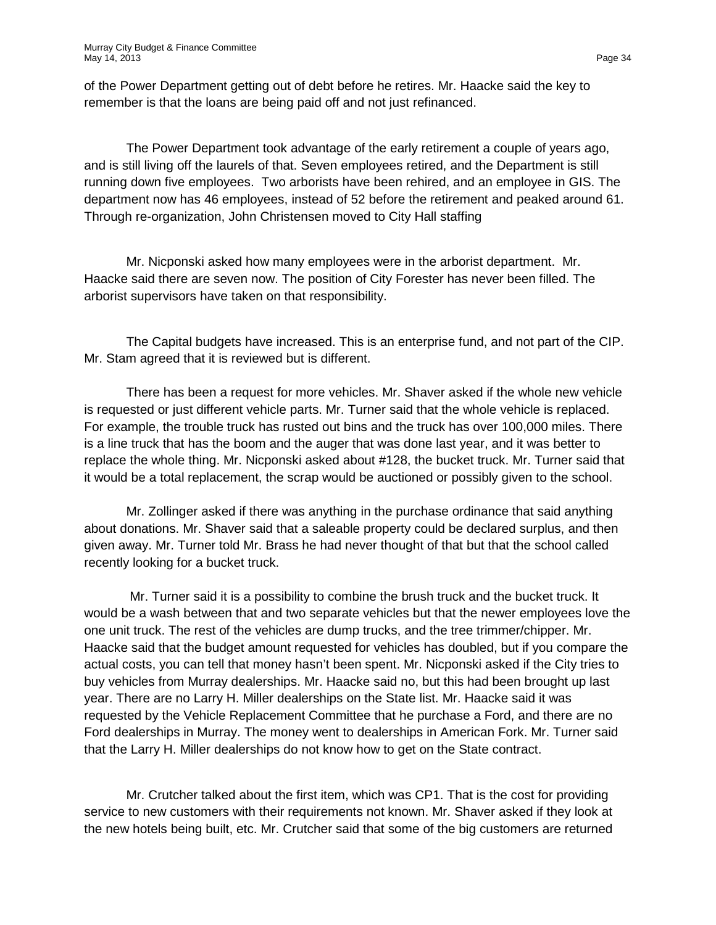of the Power Department getting out of debt before he retires. Mr. Haacke said the key to remember is that the loans are being paid off and not just refinanced.

The Power Department took advantage of the early retirement a couple of years ago, and is still living off the laurels of that. Seven employees retired, and the Department is still running down five employees. Two arborists have been rehired, and an employee in GIS. The department now has 46 employees, instead of 52 before the retirement and peaked around 61. Through re-organization, John Christensen moved to City Hall staffing

Mr. Nicponski asked how many employees were in the arborist department. Mr. Haacke said there are seven now. The position of City Forester has never been filled. The arborist supervisors have taken on that responsibility.

The Capital budgets have increased. This is an enterprise fund, and not part of the CIP. Mr. Stam agreed that it is reviewed but is different.

There has been a request for more vehicles. Mr. Shaver asked if the whole new vehicle is requested or just different vehicle parts. Mr. Turner said that the whole vehicle is replaced. For example, the trouble truck has rusted out bins and the truck has over 100,000 miles. There is a line truck that has the boom and the auger that was done last year, and it was better to replace the whole thing. Mr. Nicponski asked about #128, the bucket truck. Mr. Turner said that it would be a total replacement, the scrap would be auctioned or possibly given to the school.

Mr. Zollinger asked if there was anything in the purchase ordinance that said anything about donations. Mr. Shaver said that a saleable property could be declared surplus, and then given away. Mr. Turner told Mr. Brass he had never thought of that but that the school called recently looking for a bucket truck.

Mr. Turner said it is a possibility to combine the brush truck and the bucket truck. It would be a wash between that and two separate vehicles but that the newer employees love the one unit truck. The rest of the vehicles are dump trucks, and the tree trimmer/chipper. Mr. Haacke said that the budget amount requested for vehicles has doubled, but if you compare the actual costs, you can tell that money hasn't been spent. Mr. Nicponski asked if the City tries to buy vehicles from Murray dealerships. Mr. Haacke said no, but this had been brought up last year. There are no Larry H. Miller dealerships on the State list. Mr. Haacke said it was requested by the Vehicle Replacement Committee that he purchase a Ford, and there are no Ford dealerships in Murray. The money went to dealerships in American Fork. Mr. Turner said that the Larry H. Miller dealerships do not know how to get on the State contract.

Mr. Crutcher talked about the first item, which was CP1. That is the cost for providing service to new customers with their requirements not known. Mr. Shaver asked if they look at the new hotels being built, etc. Mr. Crutcher said that some of the big customers are returned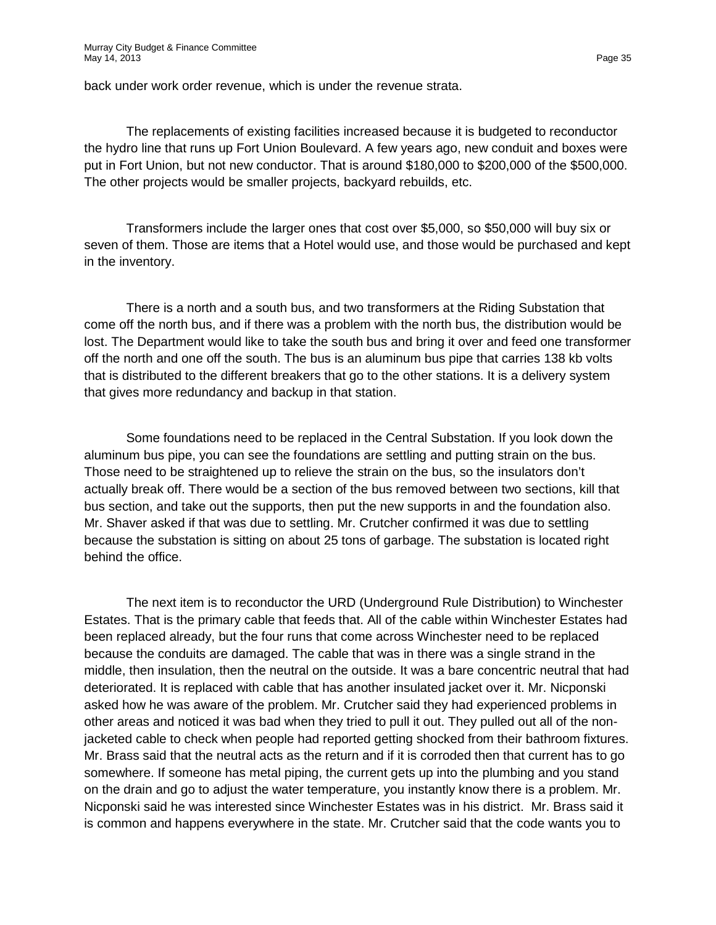back under work order revenue, which is under the revenue strata.

The replacements of existing facilities increased because it is budgeted to reconductor the hydro line that runs up Fort Union Boulevard. A few years ago, new conduit and boxes were put in Fort Union, but not new conductor. That is around \$180,000 to \$200,000 of the \$500,000. The other projects would be smaller projects, backyard rebuilds, etc.

Transformers include the larger ones that cost over \$5,000, so \$50,000 will buy six or seven of them. Those are items that a Hotel would use, and those would be purchased and kept in the inventory.

There is a north and a south bus, and two transformers at the Riding Substation that come off the north bus, and if there was a problem with the north bus, the distribution would be lost. The Department would like to take the south bus and bring it over and feed one transformer off the north and one off the south. The bus is an aluminum bus pipe that carries 138 kb volts that is distributed to the different breakers that go to the other stations. It is a delivery system that gives more redundancy and backup in that station.

Some foundations need to be replaced in the Central Substation. If you look down the aluminum bus pipe, you can see the foundations are settling and putting strain on the bus. Those need to be straightened up to relieve the strain on the bus, so the insulators don't actually break off. There would be a section of the bus removed between two sections, kill that bus section, and take out the supports, then put the new supports in and the foundation also. Mr. Shaver asked if that was due to settling. Mr. Crutcher confirmed it was due to settling because the substation is sitting on about 25 tons of garbage. The substation is located right behind the office.

The next item is to reconductor the URD (Underground Rule Distribution) to Winchester Estates. That is the primary cable that feeds that. All of the cable within Winchester Estates had been replaced already, but the four runs that come across Winchester need to be replaced because the conduits are damaged. The cable that was in there was a single strand in the middle, then insulation, then the neutral on the outside. It was a bare concentric neutral that had deteriorated. It is replaced with cable that has another insulated jacket over it. Mr. Nicponski asked how he was aware of the problem. Mr. Crutcher said they had experienced problems in other areas and noticed it was bad when they tried to pull it out. They pulled out all of the nonjacketed cable to check when people had reported getting shocked from their bathroom fixtures. Mr. Brass said that the neutral acts as the return and if it is corroded then that current has to go somewhere. If someone has metal piping, the current gets up into the plumbing and you stand on the drain and go to adjust the water temperature, you instantly know there is a problem. Mr. Nicponski said he was interested since Winchester Estates was in his district. Mr. Brass said it is common and happens everywhere in the state. Mr. Crutcher said that the code wants you to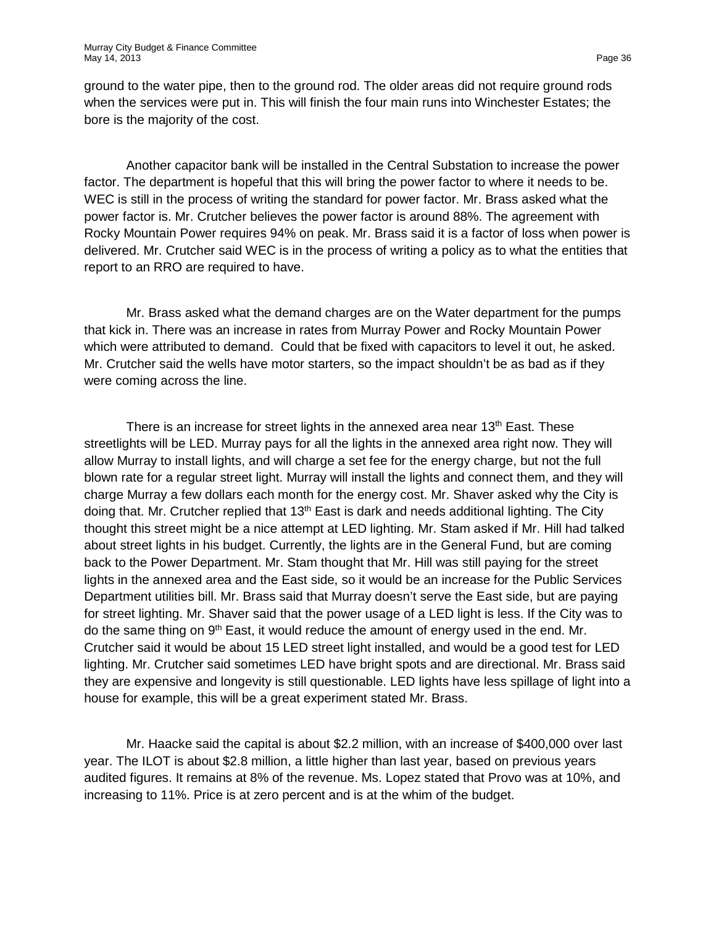ground to the water pipe, then to the ground rod. The older areas did not require ground rods when the services were put in. This will finish the four main runs into Winchester Estates; the bore is the majority of the cost.

Another capacitor bank will be installed in the Central Substation to increase the power factor. The department is hopeful that this will bring the power factor to where it needs to be. WEC is still in the process of writing the standard for power factor. Mr. Brass asked what the power factor is. Mr. Crutcher believes the power factor is around 88%. The agreement with Rocky Mountain Power requires 94% on peak. Mr. Brass said it is a factor of loss when power is delivered. Mr. Crutcher said WEC is in the process of writing a policy as to what the entities that report to an RRO are required to have.

Mr. Brass asked what the demand charges are on the Water department for the pumps that kick in. There was an increase in rates from Murray Power and Rocky Mountain Power which were attributed to demand. Could that be fixed with capacitors to level it out, he asked. Mr. Crutcher said the wells have motor starters, so the impact shouldn't be as bad as if they were coming across the line.

There is an increase for street lights in the annexed area near 13<sup>th</sup> East. These streetlights will be LED. Murray pays for all the lights in the annexed area right now. They will allow Murray to install lights, and will charge a set fee for the energy charge, but not the full blown rate for a regular street light. Murray will install the lights and connect them, and they will charge Murray a few dollars each month for the energy cost. Mr. Shaver asked why the City is doing that. Mr. Crutcher replied that 13<sup>th</sup> East is dark and needs additional lighting. The City thought this street might be a nice attempt at LED lighting. Mr. Stam asked if Mr. Hill had talked about street lights in his budget. Currently, the lights are in the General Fund, but are coming back to the Power Department. Mr. Stam thought that Mr. Hill was still paying for the street lights in the annexed area and the East side, so it would be an increase for the Public Services Department utilities bill. Mr. Brass said that Murray doesn't serve the East side, but are paying for street lighting. Mr. Shaver said that the power usage of a LED light is less. If the City was to do the same thing on 9<sup>th</sup> East, it would reduce the amount of energy used in the end. Mr. Crutcher said it would be about 15 LED street light installed, and would be a good test for LED lighting. Mr. Crutcher said sometimes LED have bright spots and are directional. Mr. Brass said they are expensive and longevity is still questionable. LED lights have less spillage of light into a house for example, this will be a great experiment stated Mr. Brass.

Mr. Haacke said the capital is about \$2.2 million, with an increase of \$400,000 over last year. The ILOT is about \$2.8 million, a little higher than last year, based on previous years audited figures. It remains at 8% of the revenue. Ms. Lopez stated that Provo was at 10%, and increasing to 11%. Price is at zero percent and is at the whim of the budget.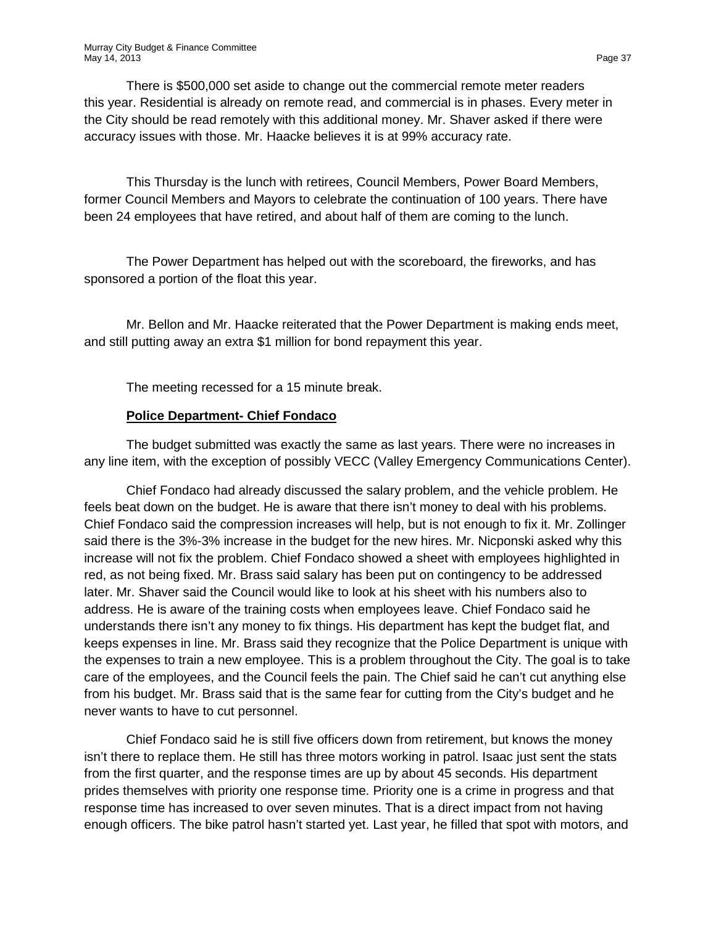There is \$500,000 set aside to change out the commercial remote meter readers this year. Residential is already on remote read, and commercial is in phases. Every meter in the City should be read remotely with this additional money. Mr. Shaver asked if there were accuracy issues with those. Mr. Haacke believes it is at 99% accuracy rate.

This Thursday is the lunch with retirees, Council Members, Power Board Members, former Council Members and Mayors to celebrate the continuation of 100 years. There have been 24 employees that have retired, and about half of them are coming to the lunch.

The Power Department has helped out with the scoreboard, the fireworks, and has sponsored a portion of the float this year.

Mr. Bellon and Mr. Haacke reiterated that the Power Department is making ends meet, and still putting away an extra \$1 million for bond repayment this year.

The meeting recessed for a 15 minute break.

#### **Police Department- Chief Fondaco**

The budget submitted was exactly the same as last years. There were no increases in any line item, with the exception of possibly VECC (Valley Emergency Communications Center).

Chief Fondaco had already discussed the salary problem, and the vehicle problem. He feels beat down on the budget. He is aware that there isn't money to deal with his problems. Chief Fondaco said the compression increases will help, but is not enough to fix it. Mr. Zollinger said there is the 3%-3% increase in the budget for the new hires. Mr. Nicponski asked why this increase will not fix the problem. Chief Fondaco showed a sheet with employees highlighted in red, as not being fixed. Mr. Brass said salary has been put on contingency to be addressed later. Mr. Shaver said the Council would like to look at his sheet with his numbers also to address. He is aware of the training costs when employees leave. Chief Fondaco said he understands there isn't any money to fix things. His department has kept the budget flat, and keeps expenses in line. Mr. Brass said they recognize that the Police Department is unique with the expenses to train a new employee. This is a problem throughout the City. The goal is to take care of the employees, and the Council feels the pain. The Chief said he can't cut anything else from his budget. Mr. Brass said that is the same fear for cutting from the City's budget and he never wants to have to cut personnel.

Chief Fondaco said he is still five officers down from retirement, but knows the money isn't there to replace them. He still has three motors working in patrol. Isaac just sent the stats from the first quarter, and the response times are up by about 45 seconds. His department prides themselves with priority one response time. Priority one is a crime in progress and that response time has increased to over seven minutes. That is a direct impact from not having enough officers. The bike patrol hasn't started yet. Last year, he filled that spot with motors, and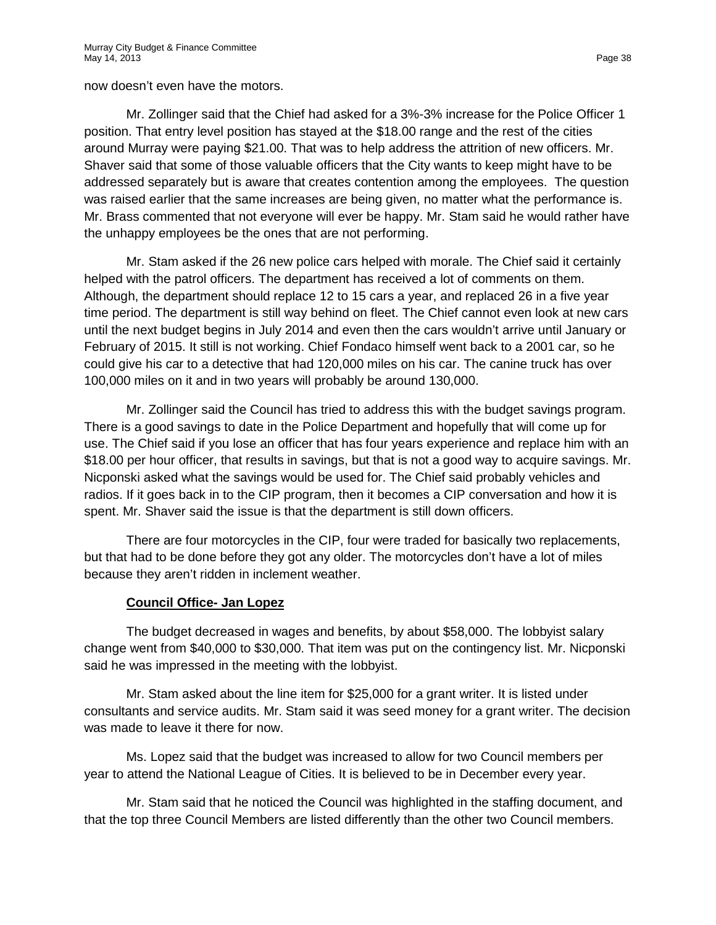now doesn't even have the motors.

Mr. Zollinger said that the Chief had asked for a 3%-3% increase for the Police Officer 1 position. That entry level position has stayed at the \$18.00 range and the rest of the cities around Murray were paying \$21.00. That was to help address the attrition of new officers. Mr. Shaver said that some of those valuable officers that the City wants to keep might have to be addressed separately but is aware that creates contention among the employees. The question was raised earlier that the same increases are being given, no matter what the performance is. Mr. Brass commented that not everyone will ever be happy. Mr. Stam said he would rather have the unhappy employees be the ones that are not performing.

Mr. Stam asked if the 26 new police cars helped with morale. The Chief said it certainly helped with the patrol officers. The department has received a lot of comments on them. Although, the department should replace 12 to 15 cars a year, and replaced 26 in a five year time period. The department is still way behind on fleet. The Chief cannot even look at new cars until the next budget begins in July 2014 and even then the cars wouldn't arrive until January or February of 2015. It still is not working. Chief Fondaco himself went back to a 2001 car, so he could give his car to a detective that had 120,000 miles on his car. The canine truck has over 100,000 miles on it and in two years will probably be around 130,000.

Mr. Zollinger said the Council has tried to address this with the budget savings program. There is a good savings to date in the Police Department and hopefully that will come up for use. The Chief said if you lose an officer that has four years experience and replace him with an \$18.00 per hour officer, that results in savings, but that is not a good way to acquire savings. Mr. Nicponski asked what the savings would be used for. The Chief said probably vehicles and radios. If it goes back in to the CIP program, then it becomes a CIP conversation and how it is spent. Mr. Shaver said the issue is that the department is still down officers.

There are four motorcycles in the CIP, four were traded for basically two replacements, but that had to be done before they got any older. The motorcycles don't have a lot of miles because they aren't ridden in inclement weather.

# **Council Office- Jan Lopez**

The budget decreased in wages and benefits, by about \$58,000. The lobbyist salary change went from \$40,000 to \$30,000. That item was put on the contingency list. Mr. Nicponski said he was impressed in the meeting with the lobbyist.

Mr. Stam asked about the line item for \$25,000 for a grant writer. It is listed under consultants and service audits. Mr. Stam said it was seed money for a grant writer. The decision was made to leave it there for now.

Ms. Lopez said that the budget was increased to allow for two Council members per year to attend the National League of Cities. It is believed to be in December every year.

Mr. Stam said that he noticed the Council was highlighted in the staffing document, and that the top three Council Members are listed differently than the other two Council members.